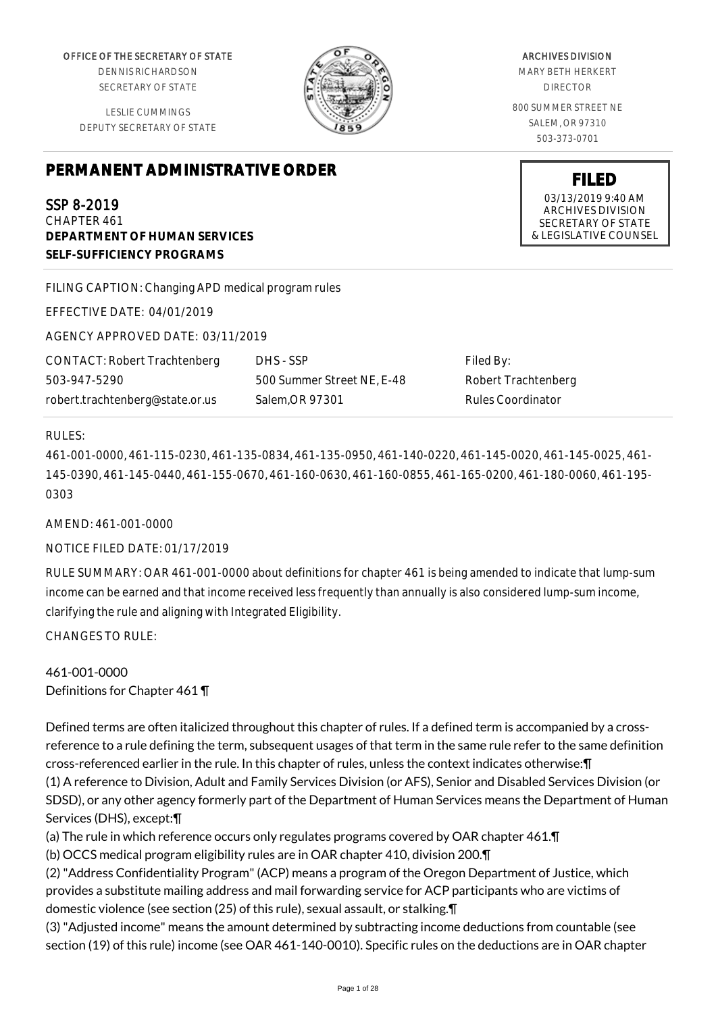OFFICE OF THE SECRETARY OF STATE

DENNIS RICHARDSON SECRETARY OF STATE

LESLIE CUMMINGS DEPUTY SECRETARY OF STATE

# **PERMANENT ADMINISTRATIVE ORDER**

# SSP 8-2019

CHAPTER 461 **DEPARTMENT OF HUMAN SERVICES SELF-SUFFICIENCY PROGRAMS**

FILING CAPTION: Changing APD medical program rules

EFFECTIVE DATE: 04/01/2019

AGENCY APPROVED DATE: 03/11/2019

CONTACT: Robert Trachtenberg 503-947-5290 robert.trachtenberg@state.or.us

DHS - SSP 500 Summer Street NE, E-48 Salem,OR 97301

Filed By: Robert Trachtenberg Rules Coordinator

### RULES:

461-001-0000, 461-115-0230, 461-135-0834, 461-135-0950, 461-140-0220, 461-145-0020, 461-145-0025, 461- 145-0390, 461-145-0440, 461-155-0670, 461-160-0630, 461-160-0855, 461-165-0200, 461-180-0060, 461-195- 0303

AMEND: 461-001-0000

NOTICE FILED DATE: 01/17/2019

RULE SUMMARY: OAR 461-001-0000 about definitions for chapter 461 is being amended to indicate that lump-sum income can be earned and that income received less frequently than annually is also considered lump-sum income, clarifying the rule and aligning with Integrated Eligibility.

CHANGES TO RULE:

461-001-0000 Definitions for Chapter 461 ¶

Defined terms are often italicized throughout this chapter of rules. If a defined term is accompanied by a crossreference to a rule defining the term, subsequent usages of that term in the same rule refer to the same definition cross-referenced earlier in the rule. In this chapter of rules, unless the context indicates otherwise:¶ (1) A reference to Division, Adult and Family Services Division (or AFS), Senior and Disabled Services Division (or SDSD), or any other agency formerly part of the Department of Human Services means the Department of Human Services (DHS), except:¶

(a) The rule in which reference occurs only regulates programs covered by OAR chapter 461.¶

(b) OCCS medical program eligibility rules are in OAR chapter 410, division 200.¶

(2) "Address Confidentiality Program" (ACP) means a program of the Oregon Department of Justice, which provides a substitute mailing address and mail forwarding service for ACP participants who are victims of domestic violence (see section (25) of this rule), sexual assault, or stalking.¶

(3) "Adjusted income" means the amount determined by subtracting income deductions from countable (see section (19) of this rule) income (see OAR 461-140-0010). Specific rules on the deductions are in OAR chapter

ARCHIVES DIVISION MARY BETH HERKERT DIRECTOR 800 SUMMER STREET NE SALEM, OR 97310

503-373-0701

**FILED** 03/13/2019 9:40 AM ARCHIVES DIVISION SECRETARY OF STATE & LEGISLATIVE COUNSEL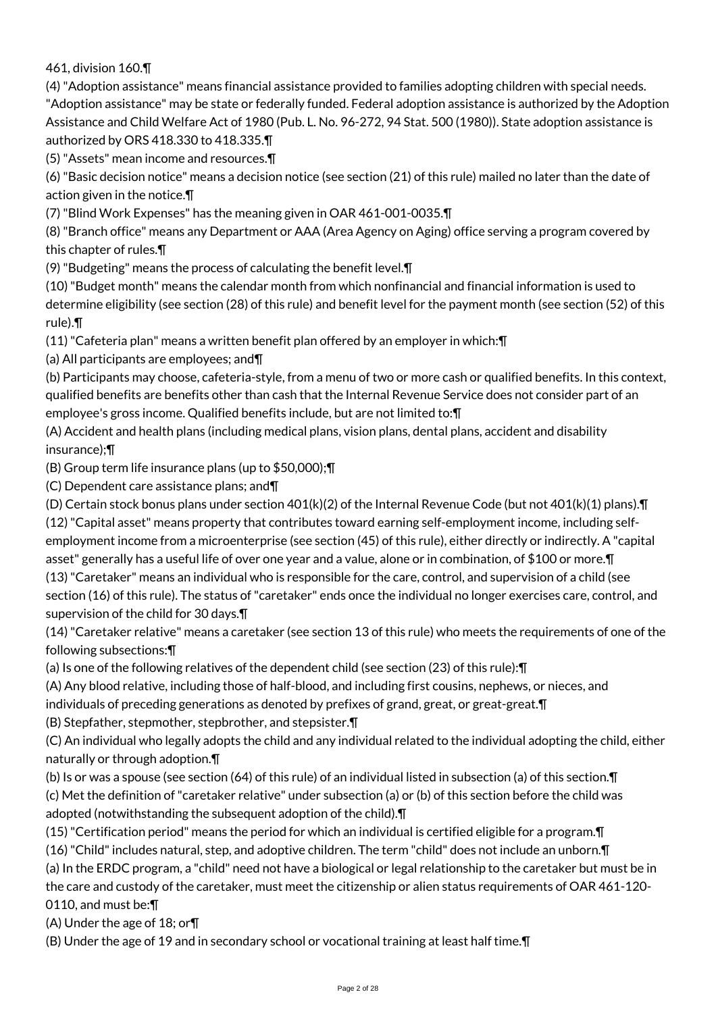461, division 160.¶

(4) "Adoption assistance" means financial assistance provided to families adopting children with special needs. "Adoption assistance" may be state or federally funded. Federal adoption assistance is authorized by the Adoption Assistance and Child Welfare Act of 1980 (Pub. L. No. 96-272, 94 Stat. 500 (1980)). State adoption assistance is authorized by ORS 418.330 to 418.335.¶

(5) "Assets" mean income and resources.¶

(6) "Basic decision notice" means a decision notice (see section (21) of this rule) mailed no later than the date of action given in the notice.¶

(7) "Blind Work Expenses" has the meaning given in OAR 461-001-0035.¶

(8) "Branch office" means any Department or AAA (Area Agency on Aging) office serving a program covered by this chapter of rules.¶

(9) "Budgeting" means the process of calculating the benefit level.¶

(10) "Budget month" means the calendar month from which nonfinancial and financial information is used to determine eligibility (see section (28) of this rule) and benefit level for the payment month (see section (52) of this rule).¶

(11) "Cafeteria plan" means a written benefit plan offered by an employer in which:¶

(a) All participants are employees; and¶

(b) Participants may choose, cafeteria-style, from a menu of two or more cash or qualified benefits. In this context, qualified benefits are benefits other than cash that the Internal Revenue Service does not consider part of an employee's gross income. Qualified benefits include, but are not limited to:¶

(A) Accident and health plans (including medical plans, vision plans, dental plans, accident and disability insurance);¶

(B) Group term life insurance plans (up to \$50,000);¶

(C) Dependent care assistance plans; and¶

(D) Certain stock bonus plans under section 401(k)(2) of the Internal Revenue Code (but not 401(k)(1) plans).¶

(12) "Capital asset" means property that contributes toward earning self-employment income, including self-

employment income from a microenterprise (see section (45) of this rule), either directly or indirectly. A "capital asset" generally has a useful life of over one year and a value, alone or in combination, of \$100 or more.¶

(13) "Caretaker" means an individual who is responsible for the care, control, and supervision of a child (see section (16) of this rule). The status of "caretaker" ends once the individual no longer exercises care, control, and supervision of the child for 30 days.¶

(14) "Caretaker relative" means a caretaker (see section 13 of this rule) who meets the requirements of one of the following subsections:¶

(a) Is one of the following relatives of the dependent child (see section (23) of this rule):¶

(A) Any blood relative, including those of half-blood, and including first cousins, nephews, or nieces, and individuals of preceding generations as denoted by prefixes of grand, great, or great-great.¶

(B) Stepfather, stepmother, stepbrother, and stepsister.¶

(C) An individual who legally adopts the child and any individual related to the individual adopting the child, either naturally or through adoption.¶

(b) Is or was a spouse (see section (64) of this rule) of an individual listed in subsection (a) of this section.¶ (c) Met the definition of "caretaker relative" under subsection (a) or (b) of this section before the child was adopted (notwithstanding the subsequent adoption of the child).¶

(15) "Certification period" means the period for which an individual is certified eligible for a program.¶

(16) "Child" includes natural, step, and adoptive children. The term "child" does not include an unborn.¶ (a) In the ERDC program, a "child" need not have a biological or legal relationship to the caretaker but must be in the care and custody of the caretaker, must meet the citizenship or alien status requirements of OAR 461-120- 0110, and must be:¶

(A) Under the age of 18; or¶

(B) Under the age of 19 and in secondary school or vocational training at least half time.¶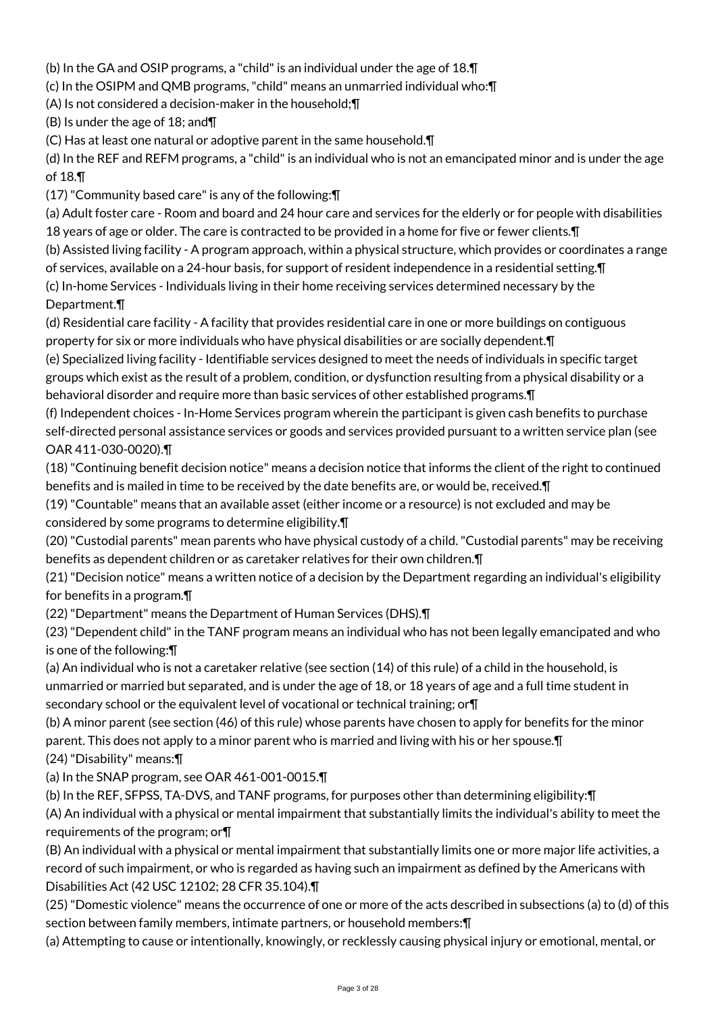(b) In the GA and OSIP programs, a "child" is an individual under the age of 18.¶

(c) In the OSIPM and QMB programs, "child" means an unmarried individual who:¶

(A) Is not considered a decision-maker in the household;¶

(B) Is under the age of 18; and¶

(C) Has at least one natural or adoptive parent in the same household.¶

(d) In the REF and REFM programs, a "child" is an individual who is not an emancipated minor and is under the age of 18.¶

(17) "Community based care" is any of the following:¶

(a) Adult foster care - Room and board and 24 hour care and services for the elderly or for people with disabilities 18 years of age or older. The care is contracted to be provided in a home for five or fewer clients.¶

(b) Assisted living facility - A program approach, within a physical structure, which provides or coordinates a range

of services, available on a 24-hour basis, for support of resident independence in a residential setting.¶ (c) In-home Services - Individuals living in their home receiving services determined necessary by the

# Department.¶

(d) Residential care facility - A facility that provides residential care in one or more buildings on contiguous property for six or more individuals who have physical disabilities or are socially dependent.¶

(e) Specialized living facility - Identifiable services designed to meet the needs of individuals in specific target groups which exist as the result of a problem, condition, or dysfunction resulting from a physical disability or a behavioral disorder and require more than basic services of other established programs.¶

(f) Independent choices - In-Home Services program wherein the participant is given cash benefits to purchase self-directed personal assistance services or goods and services provided pursuant to a written service plan (see OAR 411-030-0020).¶

(18) "Continuing benefit decision notice" means a decision notice that informs the client of the right to continued benefits and is mailed in time to be received by the date benefits are, or would be, received.¶

(19) "Countable" means that an available asset (either income or a resource) is not excluded and may be considered by some programs to determine eligibility.¶

(20) "Custodial parents" mean parents who have physical custody of a child. "Custodial parents" may be receiving benefits as dependent children or as caretaker relatives for their own children.¶

(21) "Decision notice" means a written notice of a decision by the Department regarding an individual's eligibility for benefits in a program.¶

(22) "Department" means the Department of Human Services (DHS).¶

(23) "Dependent child" in the TANF program means an individual who has not been legally emancipated and who is one of the following:¶

(a) An individual who is not a caretaker relative (see section (14) of this rule) of a child in the household, is unmarried or married but separated, and is under the age of 18, or 18 years of age and a full time student in secondary school or the equivalent level of vocational or technical training; or¶

(b) A minor parent (see section (46) of this rule) whose parents have chosen to apply for benefits for the minor parent. This does not apply to a minor parent who is married and living with his or her spouse.¶ (24) "Disability" means:¶

(a) In the SNAP program, see OAR 461-001-0015.¶

(b) In the REF, SFPSS, TA-DVS, and TANF programs, for purposes other than determining eligibility:¶ (A) An individual with a physical or mental impairment that substantially limits the individual's ability to meet the requirements of the program; or¶

(B) An individual with a physical or mental impairment that substantially limits one or more major life activities, a record of such impairment, or who is regarded as having such an impairment as defined by the Americans with Disabilities Act (42 USC 12102; 28 CFR 35.104).¶

(25) "Domestic violence" means the occurrence of one or more of the acts described in subsections (a) to (d) of this section between family members, intimate partners, or household members:¶

(a) Attempting to cause or intentionally, knowingly, or recklessly causing physical injury or emotional, mental, or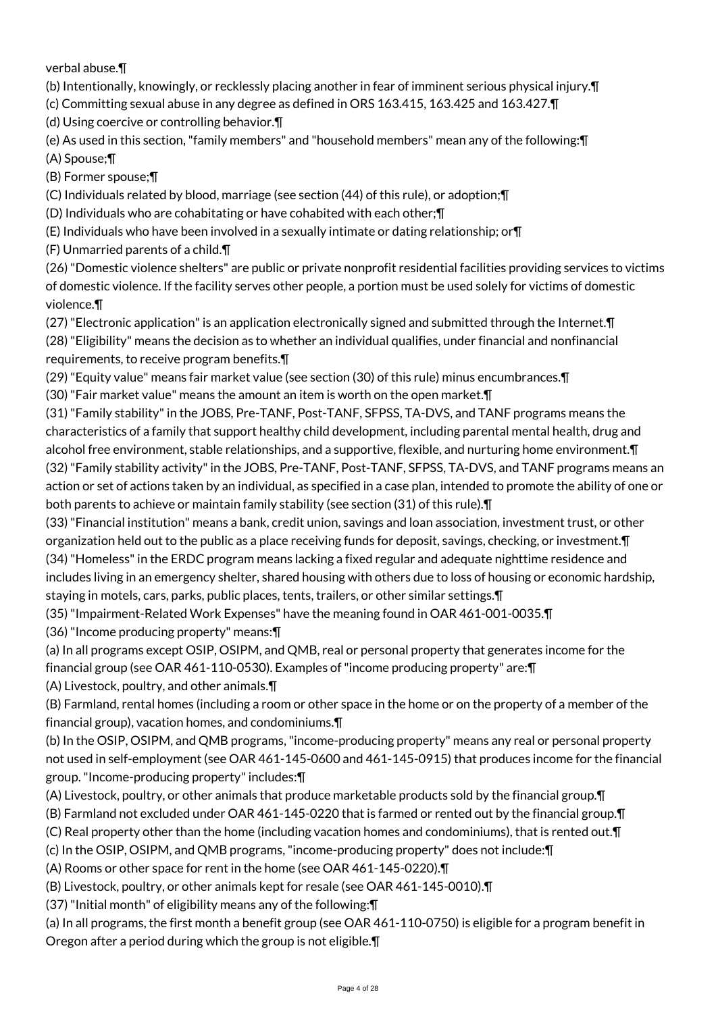verbal abuse.¶

(b) Intentionally, knowingly, or recklessly placing another in fear of imminent serious physical injury.¶

- (c) Committing sexual abuse in any degree as defined in ORS 163.415, 163.425 and 163.427.¶
- (d) Using coercive or controlling behavior.¶
- (e) As used in this section, "family members" and "household members" mean any of the following:¶ (A) Spouse;¶

(B) Former spouse;¶

(C) Individuals related by blood, marriage (see section (44) of this rule), or adoption;¶

- (D) Individuals who are cohabitating or have cohabited with each other;¶
- (E) Individuals who have been involved in a sexually intimate or dating relationship; or¶

(F) Unmarried parents of a child.¶

(26) "Domestic violence shelters" are public or private nonprofit residential facilities providing services to victims of domestic violence. If the facility serves other people, a portion must be used solely for victims of domestic violence.¶

- (27) "Electronic application" is an application electronically signed and submitted through the Internet.¶ (28) "Eligibility" means the decision as to whether an individual qualifies, under financial and nonfinancial requirements, to receive program benefits.¶
- (29) "Equity value" means fair market value (see section (30) of this rule) minus encumbrances.¶

(30) "Fair market value" means the amount an item is worth on the open market.¶

(31) "Family stability" in the JOBS, Pre-TANF, Post-TANF, SFPSS, TA-DVS, and TANF programs means the characteristics of a family that support healthy child development, including parental mental health, drug and alcohol free environment, stable relationships, and a supportive, flexible, and nurturing home environment.¶ (32) "Family stability activity" in the JOBS, Pre-TANF, Post-TANF, SFPSS, TA-DVS, and TANF programs means an action or set of actions taken by an individual, as specified in a case plan, intended to promote the ability of one or both parents to achieve or maintain family stability (see section (31) of this rule).¶

(33) "Financial institution" means a bank, credit union, savings and loan association, investment trust, or other organization held out to the public as a place receiving funds for deposit, savings, checking, or investment.¶

(34) "Homeless" in the ERDC program means lacking a fixed regular and adequate nighttime residence and includes living in an emergency shelter, shared housing with others due to loss of housing or economic hardship, staying in motels, cars, parks, public places, tents, trailers, or other similar settings.¶

(35) "Impairment-Related Work Expenses" have the meaning found in OAR 461-001-0035.¶

(36) "Income producing property" means:¶

(a) In all programs except OSIP, OSIPM, and QMB, real or personal property that generates income for the financial group (see OAR 461-110-0530). Examples of "income producing property" are:¶

(A) Livestock, poultry, and other animals.¶

(B) Farmland, rental homes (including a room or other space in the home or on the property of a member of the financial group), vacation homes, and condominiums.¶

(b) In the OSIP, OSIPM, and QMB programs, "income-producing property" means any real or personal property not used in self-employment (see OAR 461-145-0600 and 461-145-0915) that produces income for the financial group. "Income-producing property" includes:¶

- (A) Livestock, poultry, or other animals that produce marketable products sold by the financial group.¶
- (B) Farmland not excluded under OAR 461-145-0220 that is farmed or rented out by the financial group.¶
- (C) Real property other than the home (including vacation homes and condominiums), that is rented out.¶
- (c) In the OSIP, OSIPM, and QMB programs, "income-producing property" does not include:¶

(A) Rooms or other space for rent in the home (see OAR 461-145-0220).¶

(B) Livestock, poultry, or other animals kept for resale (see OAR 461-145-0010).¶

(37) "Initial month" of eligibility means any of the following:¶

(a) In all programs, the first month a benefit group (see OAR 461-110-0750) is eligible for a program benefit in Oregon after a period during which the group is not eligible.¶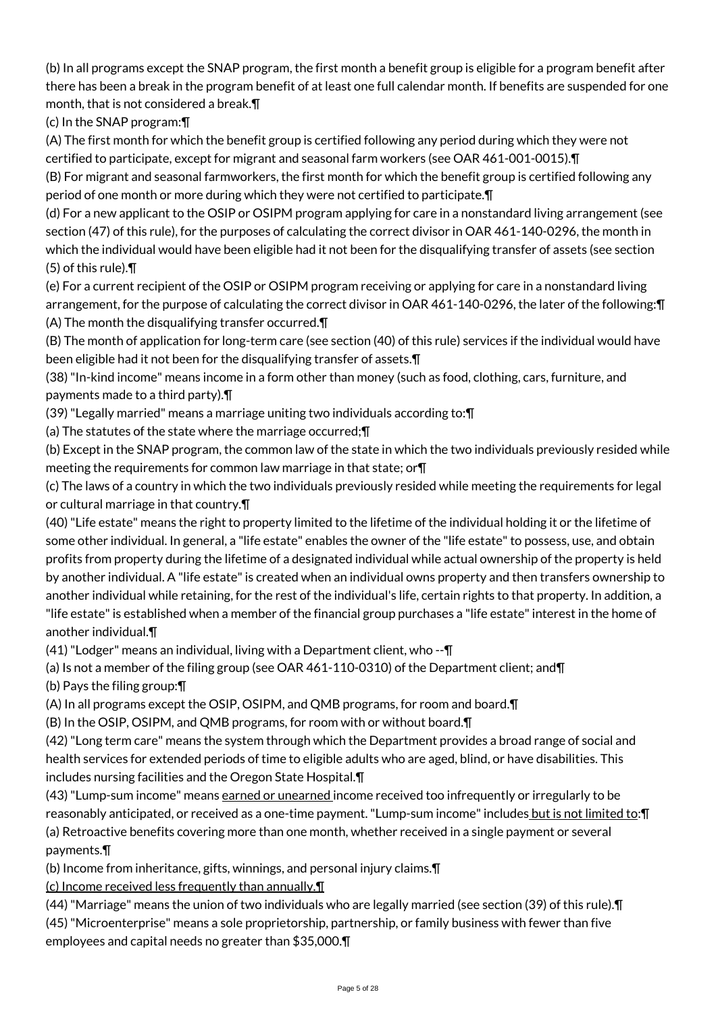(b) In all programs except the SNAP program, the first month a benefit group is eligible for a program benefit after there has been a break in the program benefit of at least one full calendar month. If benefits are suspended for one month, that is not considered a break.¶

(c) In the SNAP program:¶

(A) The first month for which the benefit group is certified following any period during which they were not certified to participate, except for migrant and seasonal farm workers (see OAR 461-001-0015).¶

(B) For migrant and seasonal farmworkers, the first month for which the benefit group is certified following any period of one month or more during which they were not certified to participate.¶

(d) For a new applicant to the OSIP or OSIPM program applying for care in a nonstandard living arrangement (see section (47) of this rule), for the purposes of calculating the correct divisor in OAR 461-140-0296, the month in which the individual would have been eligible had it not been for the disqualifying transfer of assets (see section (5) of this rule).¶

(e) For a current recipient of the OSIP or OSIPM program receiving or applying for care in a nonstandard living arrangement, for the purpose of calculating the correct divisor in OAR 461-140-0296, the later of the following:¶ (A) The month the disqualifying transfer occurred.¶

(B) The month of application for long-term care (see section (40) of this rule) services if the individual would have been eligible had it not been for the disqualifying transfer of assets.¶

(38) "In-kind income" means income in a form other than money (such as food, clothing, cars, furniture, and payments made to a third party).¶

(39) "Legally married" means a marriage uniting two individuals according to:¶

(a) The statutes of the state where the marriage occurred;¶

(b) Except in the SNAP program, the common law of the state in which the two individuals previously resided while meeting the requirements for common law marriage in that state; or¶

(c) The laws of a country in which the two individuals previously resided while meeting the requirements for legal or cultural marriage in that country.¶

(40) "Life estate" means the right to property limited to the lifetime of the individual holding it or the lifetime of some other individual. In general, a "life estate" enables the owner of the "life estate" to possess, use, and obtain profits from property during the lifetime of a designated individual while actual ownership of the property is held by another individual. A "life estate" is created when an individual owns property and then transfers ownership to another individual while retaining, for the rest of the individual's life, certain rights to that property. In addition, a "life estate" is established when a member of the financial group purchases a "life estate" interest in the home of another individual.¶

(41) "Lodger" means an individual, living with a Department client, who --¶

(a) Is not a member of the filing group (see OAR 461-110-0310) of the Department client; and¶

(b) Pays the filing group:¶

(A) In all programs except the OSIP, OSIPM, and QMB programs, for room and board.¶

(B) In the OSIP, OSIPM, and QMB programs, for room with or without board.¶

(42) "Long term care" means the system through which the Department provides a broad range of social and health services for extended periods of time to eligible adults who are aged, blind, or have disabilities. This includes nursing facilities and the Oregon State Hospital.¶

(43) "Lump-sum income" means earned or unearned income received too infrequently or irregularly to be reasonably anticipated, or received as a one-time payment. "Lump-sum income" includes but is not limited to: [ (a) Retroactive benefits covering more than one month, whether received in a single payment or several payments.¶

(b) Income from inheritance, gifts, winnings, and personal injury claims.¶

(c) Income received less frequently than annually.¶

(44) "Marriage" means the union of two individuals who are legally married (see section (39) of this rule).¶ (45) "Microenterprise" means a sole proprietorship, partnership, or family business with fewer than five

employees and capital needs no greater than \$35,000.¶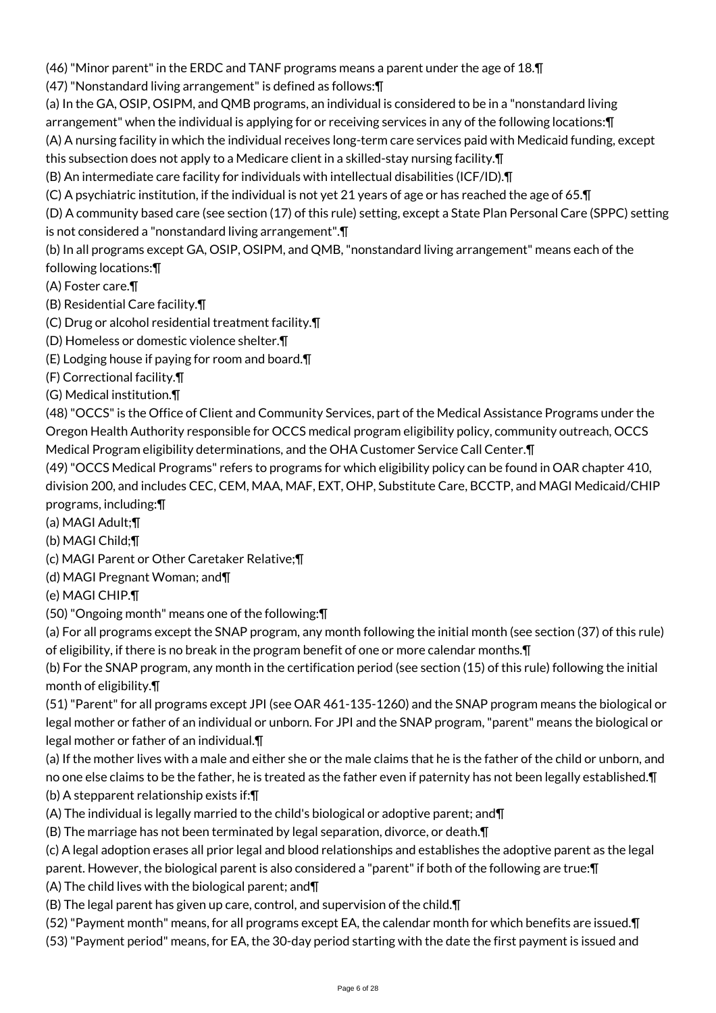(46) "Minor parent" in the ERDC and TANF programs means a parent under the age of 18.¶

(47) "Nonstandard living arrangement" is defined as follows:¶

(a) In the GA, OSIP, OSIPM, and QMB programs, an individual is considered to be in a "nonstandard living

arrangement" when the individual is applying for or receiving services in any of the following locations:¶

(A) A nursing facility in which the individual receives long-term care services paid with Medicaid funding, except this subsection does not apply to a Medicare client in a skilled-stay nursing facility.¶

(B) An intermediate care facility for individuals with intellectual disabilities (ICF/ID).¶

(C) A psychiatric institution, if the individual is not yet 21 years of age or has reached the age of 65.¶

(D) A community based care (see section (17) of this rule) setting, except a State Plan Personal Care (SPPC) setting is not considered a "nonstandard living arrangement".¶

(b) In all programs except GA, OSIP, OSIPM, and QMB, "nonstandard living arrangement" means each of the following locations:¶

(A) Foster care.¶

(B) Residential Care facility.¶

- (C) Drug or alcohol residential treatment facility.¶
- (D) Homeless or domestic violence shelter.¶
- (E) Lodging house if paying for room and board.¶

(F) Correctional facility.¶

(G) Medical institution.¶

(48) "OCCS" is the Office of Client and Community Services, part of the Medical Assistance Programs under the Oregon Health Authority responsible for OCCS medical program eligibility policy, community outreach, OCCS Medical Program eligibility determinations, and the OHA Customer Service Call Center.¶

(49) "OCCS Medical Programs" refers to programs for which eligibility policy can be found in OAR chapter 410, division 200, and includes CEC, CEM, MAA, MAF, EXT, OHP, Substitute Care, BCCTP, and MAGI Medicaid/CHIP programs, including:¶

(a) MAGI Adult;¶

(b) MAGI Child;¶

- (c) MAGI Parent or Other Caretaker Relative;¶
- (d) MAGI Pregnant Woman; and¶
- (e) MAGI CHIP.¶
- (50) "Ongoing month" means one of the following:¶

(a) For all programs except the SNAP program, any month following the initial month (see section (37) of this rule) of eligibility, if there is no break in the program benefit of one or more calendar months.¶

(b) For the SNAP program, any month in the certification period (see section (15) of this rule) following the initial month of eligibility.¶

(51) "Parent" for all programs except JPI (see OAR 461-135-1260) and the SNAP program means the biological or legal mother or father of an individual or unborn. For JPI and the SNAP program, "parent" means the biological or legal mother or father of an individual.¶

(a) If the mother lives with a male and either she or the male claims that he is the father of the child or unborn, and no one else claims to be the father, he is treated as the father even if paternity has not been legally established.¶

(b) A stepparent relationship exists if:¶

(A) The individual is legally married to the child's biological or adoptive parent; and¶

(B) The marriage has not been terminated by legal separation, divorce, or death.¶

(c) A legal adoption erases all prior legal and blood relationships and establishes the adoptive parent as the legal parent. However, the biological parent is also considered a "parent" if both of the following are true:¶

(A) The child lives with the biological parent; and¶

(B) The legal parent has given up care, control, and supervision of the child.¶

(52) "Payment month" means, for all programs except EA, the calendar month for which benefits are issued.¶

(53) "Payment period" means, for EA, the 30-day period starting with the date the first payment is issued and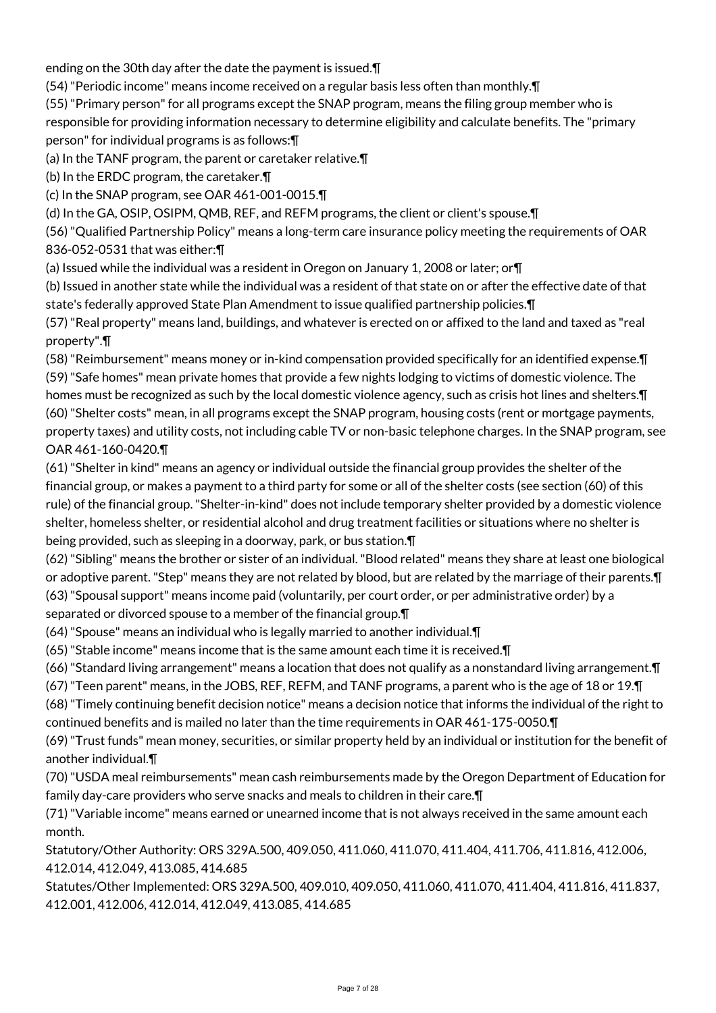ending on the 30th day after the date the payment is issued.¶

(54) "Periodic income" means income received on a regular basis less often than monthly.¶

(55) "Primary person" for all programs except the SNAP program, means the filing group member who is responsible for providing information necessary to determine eligibility and calculate benefits. The "primary person" for individual programs is as follows:¶

(a) In the TANF program, the parent or caretaker relative.¶

(b) In the ERDC program, the caretaker.¶

(c) In the SNAP program, see OAR 461-001-0015.¶

(d) In the GA, OSIP, OSIPM, QMB, REF, and REFM programs, the client or client's spouse.¶

(56) "Qualified Partnership Policy" means a long-term care insurance policy meeting the requirements of OAR 836-052-0531 that was either:¶

(a) Issued while the individual was a resident in Oregon on January 1, 2008 or later; or¶

(b) Issued in another state while the individual was a resident of that state on or after the effective date of that state's federally approved State Plan Amendment to issue qualified partnership policies.¶

(57) "Real property" means land, buildings, and whatever is erected on or affixed to the land and taxed as "real property".¶

(58) "Reimbursement" means money or in-kind compensation provided specifically for an identified expense.¶ (59) "Safe homes" mean private homes that provide a few nights lodging to victims of domestic violence. The

homes must be recognized as such by the local domestic violence agency, such as crisis hot lines and shelters.¶ (60) "Shelter costs" mean, in all programs except the SNAP program, housing costs (rent or mortgage payments, property taxes) and utility costs, not including cable TV or non-basic telephone charges. In the SNAP program, see OAR 461-160-0420.¶

(61) "Shelter in kind" means an agency or individual outside the financial group provides the shelter of the financial group, or makes a payment to a third party for some or all of the shelter costs (see section (60) of this rule) of the financial group. "Shelter-in-kind" does not include temporary shelter provided by a domestic violence shelter, homeless shelter, or residential alcohol and drug treatment facilities or situations where no shelter is being provided, such as sleeping in a doorway, park, or bus station.¶

(62) "Sibling" means the brother or sister of an individual. "Blood related" means they share at least one biological or adoptive parent. "Step" means they are not related by blood, but are related by the marriage of their parents.¶ (63) "Spousal support" means income paid (voluntarily, per court order, or per administrative order) by a separated or divorced spouse to a member of the financial group.¶

(64) "Spouse" means an individual who is legally married to another individual.¶

(65) "Stable income" means income that is the same amount each time it is received.¶

(66) "Standard living arrangement" means a location that does not qualify as a nonstandard living arrangement.¶

(67) "Teen parent" means, in the JOBS, REF, REFM, and TANF programs, a parent who is the age of 18 or 19.¶

(68) "Timely continuing benefit decision notice" means a decision notice that informs the individual of the right to continued benefits and is mailed no later than the time requirements in OAR 461-175-0050.¶

(69) "Trust funds" mean money, securities, or similar property held by an individual or institution for the benefit of another individual.¶

(70) "USDA meal reimbursements" mean cash reimbursements made by the Oregon Department of Education for family day-care providers who serve snacks and meals to children in their care.¶

(71) "Variable income" means earned or unearned income that is not always received in the same amount each month.

Statutory/Other Authority: ORS 329A.500, 409.050, 411.060, 411.070, 411.404, 411.706, 411.816, 412.006, 412.014, 412.049, 413.085, 414.685

Statutes/Other Implemented: ORS 329A.500, 409.010, 409.050, 411.060, 411.070, 411.404, 411.816, 411.837, 412.001, 412.006, 412.014, 412.049, 413.085, 414.685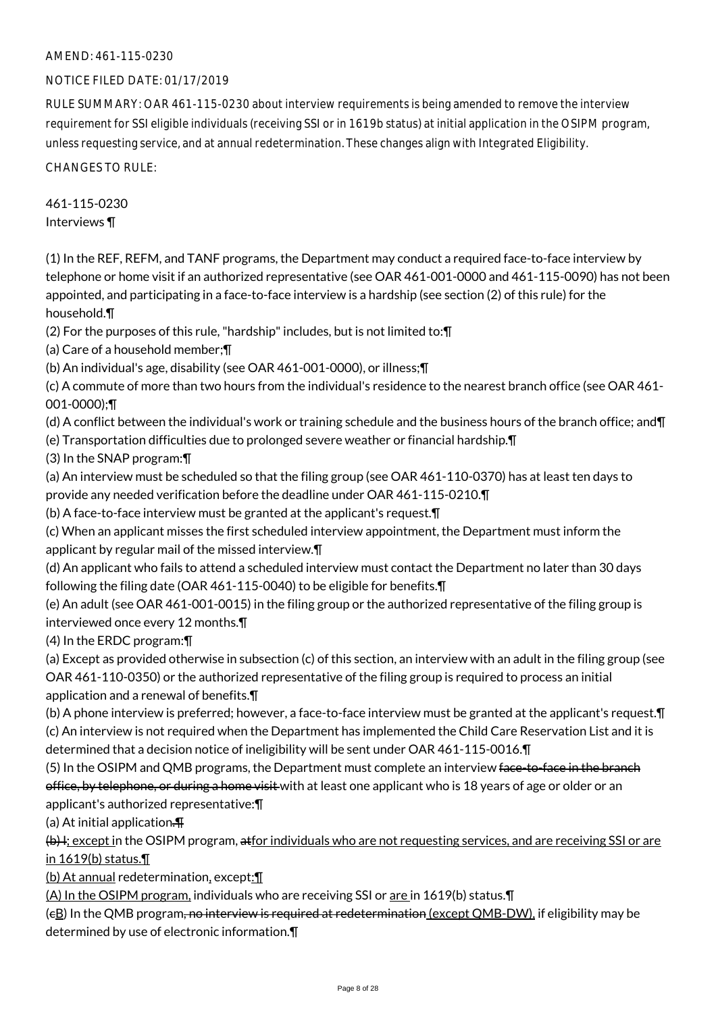#### NOTICE FILED DATE: 01/17/2019

RULE SUMMARY: OAR 461-115-0230 about interview requirements is being amended to remove the interview requirement for SSI eligible individuals (receiving SSI or in 1619b status) at initial application in the OSIPM program, unless requesting service, and at annual redetermination. These changes align with Integrated Eligibility.

CHANGES TO RULE:

461-115-0230 Interviews ¶

(1) In the REF, REFM, and TANF programs, the Department may conduct a required face-to-face interview by telephone or home visit if an authorized representative (see OAR 461-001-0000 and 461-115-0090) has not been appointed, and participating in a face-to-face interview is a hardship (see section (2) of this rule) for the household.¶

(2) For the purposes of this rule, "hardship" includes, but is not limited to:¶

(a) Care of a household member;¶

(b) An individual's age, disability (see OAR 461-001-0000), or illness;¶

(c) A commute of more than two hours from the individual's residence to the nearest branch office (see OAR 461- 001-0000);¶

(d) A conflict between the individual's work or training schedule and the business hours of the branch office; and¶

(e) Transportation difficulties due to prolonged severe weather or financial hardship.¶

(3) In the SNAP program:¶

(a) An interview must be scheduled so that the filing group (see OAR 461-110-0370) has at least ten days to provide any needed verification before the deadline under OAR 461-115-0210.¶

(b) A face-to-face interview must be granted at the applicant's request.¶

(c) When an applicant misses the first scheduled interview appointment, the Department must inform the applicant by regular mail of the missed interview.¶

(d) An applicant who fails to attend a scheduled interview must contact the Department no later than 30 days following the filing date (OAR 461-115-0040) to be eligible for benefits.¶

(e) An adult (see OAR 461-001-0015) in the filing group or the authorized representative of the filing group is interviewed once every 12 months.¶

(4) In the ERDC program:¶

(a) Except as provided otherwise in subsection (c) of this section, an interview with an adult in the filing group (see OAR 461-110-0350) or the authorized representative of the filing group is required to process an initial

application and a renewal of benefits.¶

(b) A phone interview is preferred; however, a face-to-face interview must be granted at the applicant's request.¶ (c) An interview is not required when the Department has implemented the Child Care Reservation List and it is determined that a decision notice of ineligibility will be sent under OAR 461-115-0016.¶

(5) In the OSIPM and QMB programs, the Department must complete an interview face-to-face in the branch office, by telephone, or during a home visit with at least one applicant who is 18 years of age or older or an

applicant's authorized representative:¶

(a) At initial application.¶

(b) I; except in the OSIPM program, atfor individuals who are not requesting services, and are receiving SSI or are in 1619(b) status.¶

(b) At annual redetermination, except:¶

(A) In the OSIPM program, individuals who are receiving SSI or are in 1619(b) status.¶

(eB) In the QMB program, no interview is required at redetermination (except QMB-DW), if eligibility may be determined by use of electronic information.¶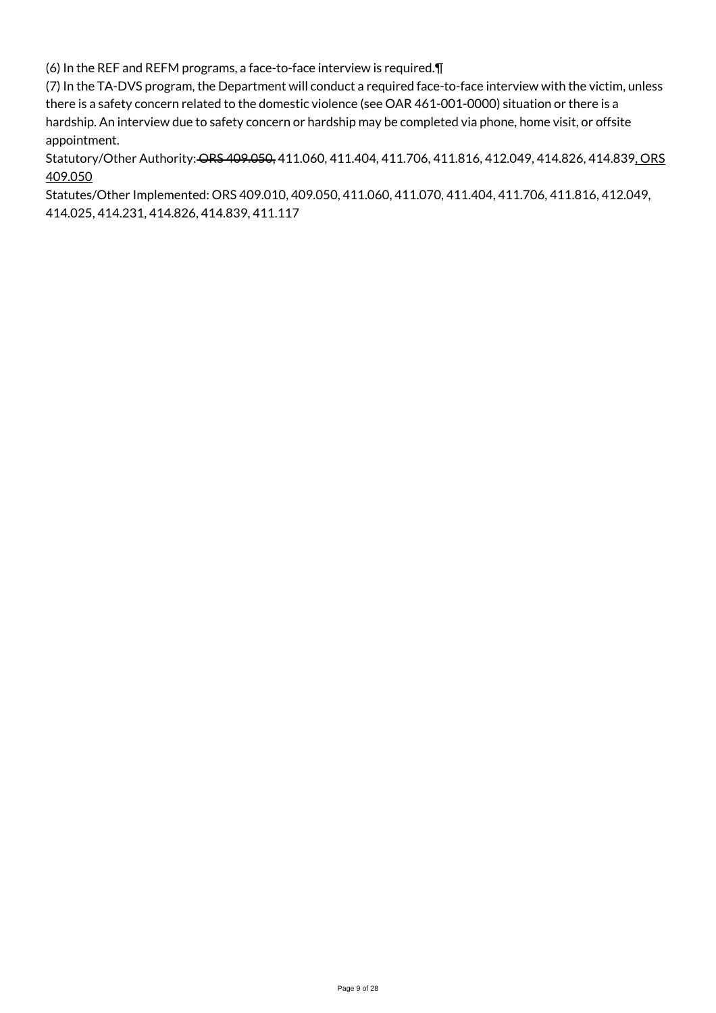(6) In the REF and REFM programs, a face-to-face interview is required.¶

(7) In the TA-DVS program, the Department will conduct a required face-to-face interview with the victim, unless there is a safety concern related to the domestic violence (see OAR 461-001-0000) situation or there is a hardship. An interview due to safety concern or hardship may be completed via phone, home visit, or offsite appointment.

Statutory/Other Authority: ORS 409.050, 411.060, 411.404, 411.706, 411.816, 412.049, 414.826, 414.839, ORS 409.050

Statutes/Other Implemented: ORS 409.010, 409.050, 411.060, 411.070, 411.404, 411.706, 411.816, 412.049, 414.025, 414.231, 414.826, 414.839, 411.117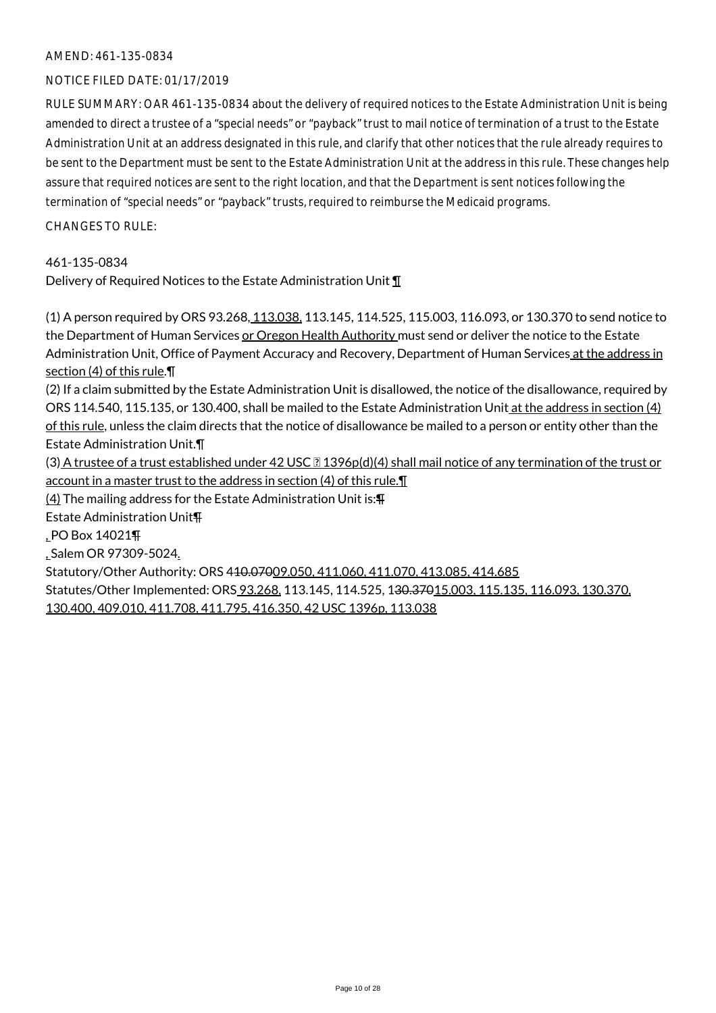#### NOTICE FILED DATE: 01/17/2019

RULE SUMMARY: OAR 461-135-0834 about the delivery of required notices to the Estate Administration Unit is being amended to direct a trustee of a "special needs" or "payback" trust to mail notice of termination of a trust to the Estate Administration Unit at an address designated in this rule, and clarify that other notices that the rule already requires to be sent to the Department must be sent to the Estate Administration Unit at the address in this rule. These changes help assure that required notices are sent to the right location, and that the Department is sent notices following the termination of "special needs" or "payback" trusts, required to reimburse the Medicaid programs.

CHANGES TO RULE:

461-135-0834

Delivery of Required Notices to the Estate Administration Unit ¶

(1) A person required by ORS 93.268, 113.038, 113.145, 114.525, 115.003, 116.093, or 130.370 to send notice to the Department of Human Services or Oregon Health Authority must send or deliver the notice to the Estate Administration Unit, Office of Payment Accuracy and Recovery, Department of Human Services at the address in section (4) of this rule.¶ (2) If a claim submitted by the Estate Administration Unit is disallowed, the notice of the disallowance, required by ORS 114.540, 115.135, or 130.400, shall be mailed to the Estate Administration Unit at the address in section (4) of this rule, unless the claim directs that the notice of disallowance be mailed to a person or entity other than the Estate Administration Unit.¶ (3) A trustee of a trust established under 42 USC **1396p(d)(4)** shall mail notice of any termination of the trust or account in a master trust to the address in section (4) of this rule.¶ (4) The mailing address for the Estate Administration Unit is:¶ Estate Administration Unit¶ , PO Box 14021¶ , Salem OR 97309-5024. Statutory/Other Authority: ORS 410.07009.050, 411.060, 411.070, 413.085, 414.685 Statutes/Other Implemented: ORS 93.268, 113.145, 114.525, 130.37015.003, 115.135, 116.093, 130.370, 130.400, 409.010, 411.708, 411.795, 416.350, 42 USC 1396p, 113.038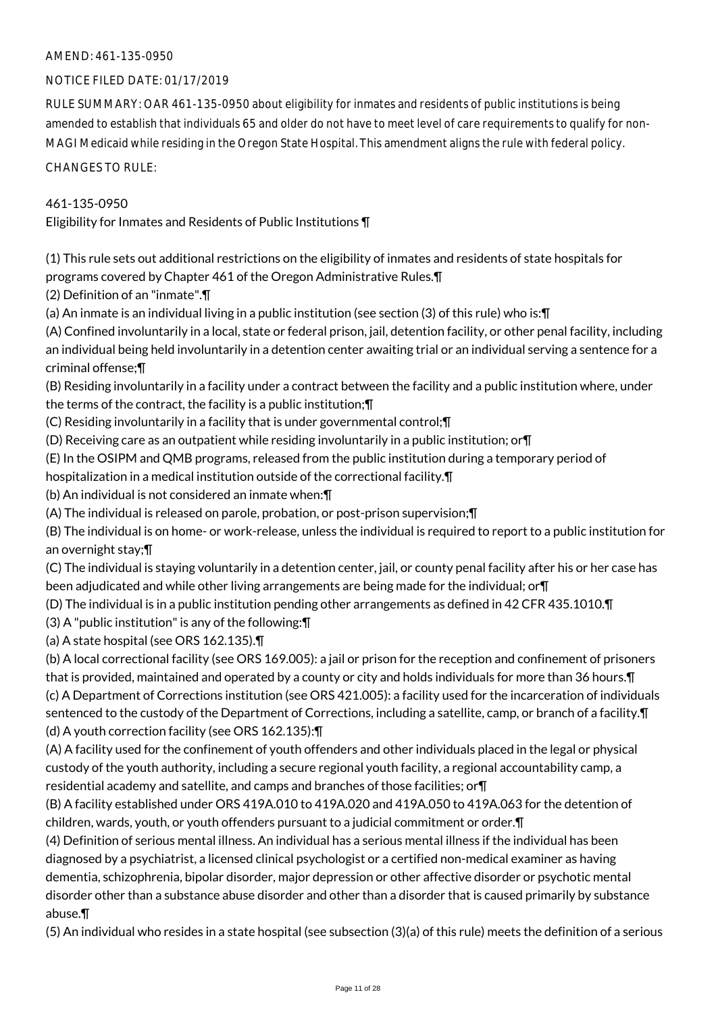#### NOTICE FILED DATE: 01/17/2019

RULE SUMMARY: OAR 461-135-0950 about eligibility for inmates and residents of public institutions is being amended to establish that individuals 65 and older do not have to meet level of care requirements to qualify for non-MAGI Medicaid while residing in the Oregon State Hospital. This amendment aligns the rule with federal policy.

CHANGES TO RULE:

#### 461-135-0950

Eligibility for Inmates and Residents of Public Institutions ¶

(1) This rule sets out additional restrictions on the eligibility of inmates and residents of state hospitals for programs covered by Chapter 461 of the Oregon Administrative Rules.¶

(2) Definition of an "inmate".¶

(a) An inmate is an individual living in a public institution (see section (3) of this rule) who is:¶

(A) Confined involuntarily in a local, state or federal prison, jail, detention facility, or other penal facility, including an individual being held involuntarily in a detention center awaiting trial or an individual serving a sentence for a criminal offense;¶

(B) Residing involuntarily in a facility under a contract between the facility and a public institution where, under the terms of the contract, the facility is a public institution;¶

(C) Residing involuntarily in a facility that is under governmental control;¶

(D) Receiving care as an outpatient while residing involuntarily in a public institution; or¶

(E) In the OSIPM and QMB programs, released from the public institution during a temporary period of

hospitalization in a medical institution outside of the correctional facility.¶

(b) An individual is not considered an inmate when:¶

(A) The individual is released on parole, probation, or post-prison supervision;¶

(B) The individual is on home- or work-release, unless the individual is required to report to a public institution for an overnight stay;¶

(C) The individual is staying voluntarily in a detention center, jail, or county penal facility after his or her case has been adjudicated and while other living arrangements are being made for the individual; or¶

(D) The individual is in a public institution pending other arrangements as defined in 42 CFR 435.1010.¶

(3) A "public institution" is any of the following:¶

(a) A state hospital (see ORS 162.135).¶

(b) A local correctional facility (see ORS 169.005): a jail or prison for the reception and confinement of prisoners that is provided, maintained and operated by a county or city and holds individuals for more than 36 hours.¶ (c) A Department of Corrections institution (see ORS 421.005): a facility used for the incarceration of individuals sentenced to the custody of the Department of Corrections, including a satellite, camp, or branch of a facility.¶

(d) A youth correction facility (see ORS 162.135):¶

(A) A facility used for the confinement of youth offenders and other individuals placed in the legal or physical custody of the youth authority, including a secure regional youth facility, a regional accountability camp, a residential academy and satellite, and camps and branches of those facilities; or¶

(B) A facility established under ORS 419A.010 to 419A.020 and 419A.050 to 419A.063 for the detention of children, wards, youth, or youth offenders pursuant to a judicial commitment or order.¶

(4) Definition of serious mental illness. An individual has a serious mental illness if the individual has been diagnosed by a psychiatrist, a licensed clinical psychologist or a certified non-medical examiner as having dementia, schizophrenia, bipolar disorder, major depression or other affective disorder or psychotic mental disorder other than a substance abuse disorder and other than a disorder that is caused primarily by substance abuse.¶

(5) An individual who resides in a state hospital (see subsection (3)(a) of this rule) meets the definition of a serious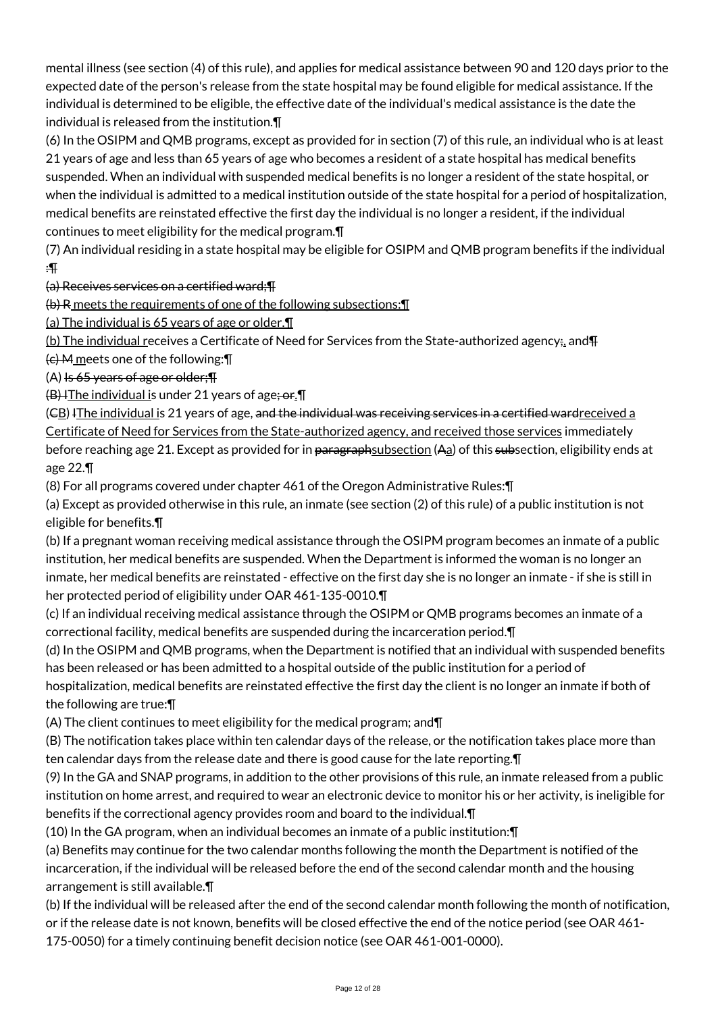mental illness (see section (4) of this rule), and applies for medical assistance between 90 and 120 days prior to the expected date of the person's release from the state hospital may be found eligible for medical assistance. If the individual is determined to be eligible, the effective date of the individual's medical assistance is the date the individual is released from the institution.¶

(6) In the OSIPM and QMB programs, except as provided for in section (7) of this rule, an individual who is at least 21 years of age and less than 65 years of age who becomes a resident of a state hospital has medical benefits suspended. When an individual with suspended medical benefits is no longer a resident of the state hospital, or when the individual is admitted to a medical institution outside of the state hospital for a period of hospitalization, medical benefits are reinstated effective the first day the individual is no longer a resident, if the individual continues to meet eligibility for the medical program.¶

(7) An individual residing in a state hospital may be eligible for OSIPM and QMB program benefits if the individual :¶

(a) Receives services on a certified ward;¶

(b) R meets the requirements of one of the following subsections:¶

(a) The individual is 65 years of age or older.¶

(b) The individual receives a Certificate of Need for Services from the State-authorized agency; and  $\Pi$ 

 $(e)$  M meets one of the following:  $\P$ 

 $(A)$  Is 65 years of age or older;  $\P$ 

 $(B)$  I The individual is under 21 years of age; or  $\P$ 

(EB) IThe individual is 21 years of age, and the individual was receiving services in a certified ward received a Certificate of Need for Services from the State-authorized agency, and received those services immediately before reaching age 21. Except as provided for in <del>paragraphsubsection</del> (Aa) of this subsection, eligibility ends at age 22.¶

(8) For all programs covered under chapter 461 of the Oregon Administrative Rules:¶

(a) Except as provided otherwise in this rule, an inmate (see section (2) of this rule) of a public institution is not eligible for benefits.¶

(b) If a pregnant woman receiving medical assistance through the OSIPM program becomes an inmate of a public institution, her medical benefits are suspended. When the Department is informed the woman is no longer an inmate, her medical benefits are reinstated - effective on the first day she is no longer an inmate - if she is still in her protected period of eligibility under OAR 461-135-0010.¶

(c) If an individual receiving medical assistance through the OSIPM or QMB programs becomes an inmate of a correctional facility, medical benefits are suspended during the incarceration period.¶

(d) In the OSIPM and QMB programs, when the Department is notified that an individual with suspended benefits has been released or has been admitted to a hospital outside of the public institution for a period of hospitalization, medical benefits are reinstated effective the first day the client is no longer an inmate if both of

the following are true:¶

(A) The client continues to meet eligibility for the medical program; and¶

(B) The notification takes place within ten calendar days of the release, or the notification takes place more than ten calendar days from the release date and there is good cause for the late reporting.¶

(9) In the GA and SNAP programs, in addition to the other provisions of this rule, an inmate released from a public institution on home arrest, and required to wear an electronic device to monitor his or her activity, is ineligible for benefits if the correctional agency provides room and board to the individual.¶

(10) In the GA program, when an individual becomes an inmate of a public institution:¶

(a) Benefits may continue for the two calendar months following the month the Department is notified of the incarceration, if the individual will be released before the end of the second calendar month and the housing arrangement is still available.¶

(b) If the individual will be released after the end of the second calendar month following the month of notification, or if the release date is not known, benefits will be closed effective the end of the notice period (see OAR 461- 175-0050) for a timely continuing benefit decision notice (see OAR 461-001-0000).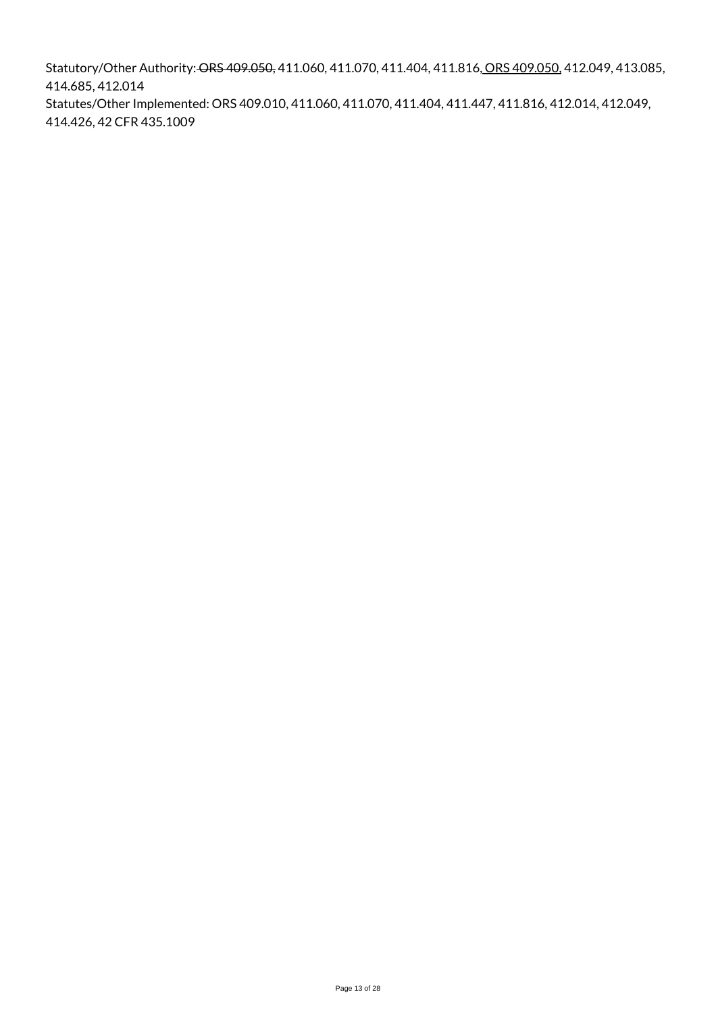Statutory/Other Authority: ORS 409.050, 411.060, 411.070, 411.404, 411.816, ORS 409.050, 412.049, 413.085, 414.685, 412.014 Statutes/Other Implemented: ORS 409.010, 411.060, 411.070, 411.404, 411.447, 411.816, 412.014, 412.049, 414.426, 42 CFR 435.1009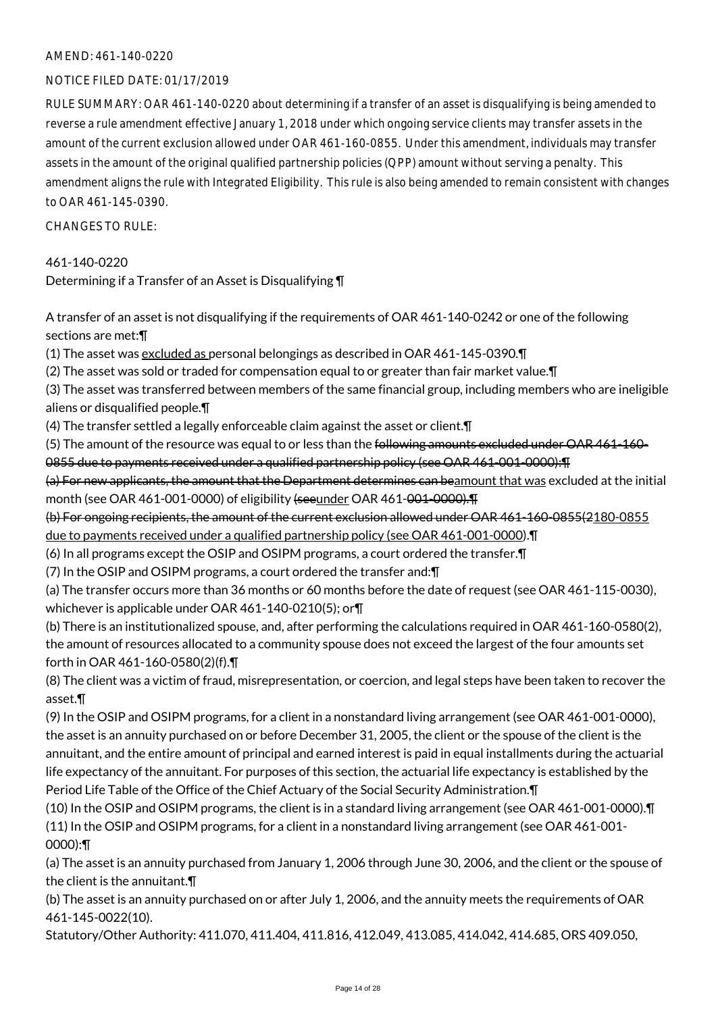#### NOTICE FILED DATE: 01/17/2019

RULE SUMMARY: OAR 461-140-0220 about determining if a transfer of an asset is disqualifying is being amended to reverse a rule amendment effective January 1, 2018 under which ongoing service clients may transfer assets in the amount of the current exclusion allowed under OAR 461-160-0855. Under this amendment, individuals may transfer assets in the amount of the original qualified partnership policies (QPP) amount without serving a penalty. This amendment aligns the rule with Integrated Eligibility. This rule is also being amended to remain consistent with changes to OAR 461-145-0390.

CHANGES TO RULE:

#### 461-140-0220

Determining if a Transfer of an Asset is Disqualifying ¶

A transfer of an asset is not disqualifying if the requirements of OAR 461-140-0242 or one of the following sections are met:¶

(1) The asset was excluded as personal belongings as described in OAR 461-145-0390.¶

(2) The asset was sold or traded for compensation equal to or greater than fair market value.¶

(3) The asset was transferred between members of the same financial group, including members who are ineligible aliens or disqualified people.¶

(4) The transfer settled a legally enforceable claim against the asset or client.¶

(5) The amount of the resource was equal to or less than the following amounts excluded under OAR 461-160- 0855 due to payments received under a qualified partnership policy (see OAR 461-001-0000):¶

(a) For new applicants, the amount that the Department determines can beamount that was excluded at the initial month (see OAR 461-001-0000) of eligibility (seeunder OAR 461-001-0000).

(b) For ongoing recipients, the amount of the current exclusion allowed under OAR 461-160-0855(2180-0855 due to payments received under a qualified partnership policy (see OAR 461-001-0000).¶

(6) In all programs except the OSIP and OSIPM programs, a court ordered the transfer.¶

(7) In the OSIP and OSIPM programs, a court ordered the transfer and:¶

(a) The transfer occurs more than 36 months or 60 months before the date of request (see OAR 461-115-0030), whichever is applicable under OAR 461-140-0210(5); or¶

(b) There is an institutionalized spouse, and, after performing the calculations required in OAR 461-160-0580(2), the amount of resources allocated to a community spouse does not exceed the largest of the four amounts set forth in OAR 461-160-0580(2)(f).¶

(8) The client was a victim of fraud, misrepresentation, or coercion, and legal steps have been taken to recover the asset.¶

(9) In the OSIP and OSIPM programs, for a client in a nonstandard living arrangement (see OAR 461-001-0000), the asset is an annuity purchased on or before December 31, 2005, the client or the spouse of the client is the annuitant, and the entire amount of principal and earned interest is paid in equal installments during the actuarial life expectancy of the annuitant. For purposes of this section, the actuarial life expectancy is established by the Period Life Table of the Office of the Chief Actuary of the Social Security Administration.¶

(10) In the OSIP and OSIPM programs, the client is in a standard living arrangement (see OAR 461-001-0000).¶ (11) In the OSIP and OSIPM programs, for a client in a nonstandard living arrangement (see OAR 461-001- 0000):¶

(a) The asset is an annuity purchased from January 1, 2006 through June 30, 2006, and the client or the spouse of the client is the annuitant.¶

(b) The asset is an annuity purchased on or after July 1, 2006, and the annuity meets the requirements of OAR 461-145-0022(10).

Statutory/Other Authority: 411.070, 411.404, 411.816, 412.049, 413.085, 414.042, 414.685, ORS 409.050,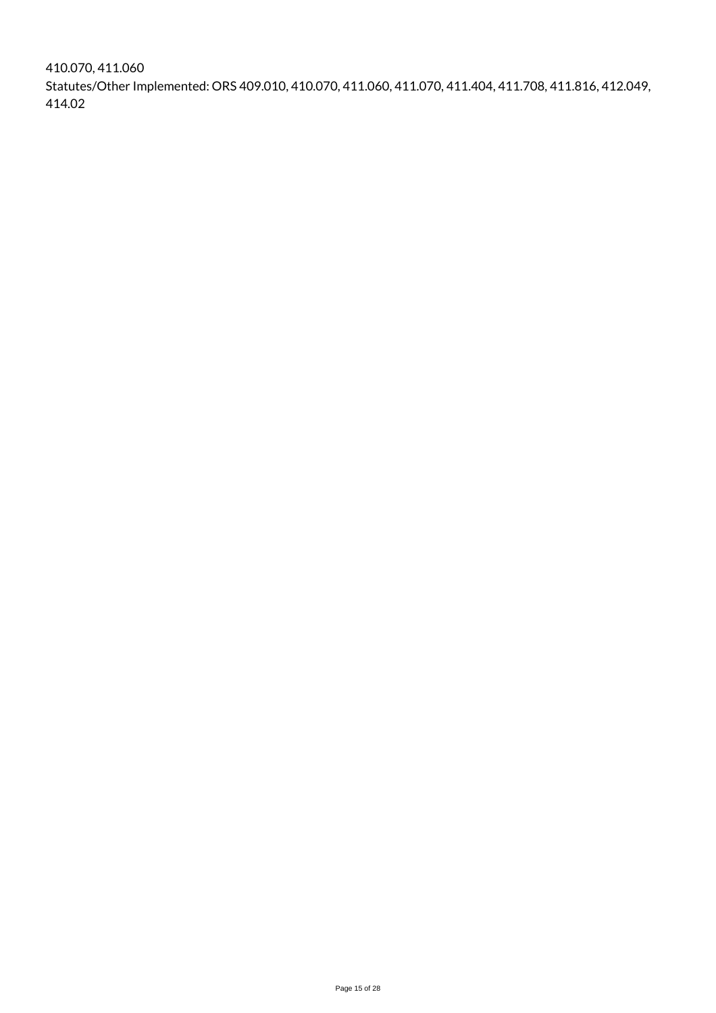410.070, 411.060 Statutes/Other Implemented: ORS 409.010, 410.070, 411.060, 411.070, 411.404, 411.708, 411.816, 412.049, 414.02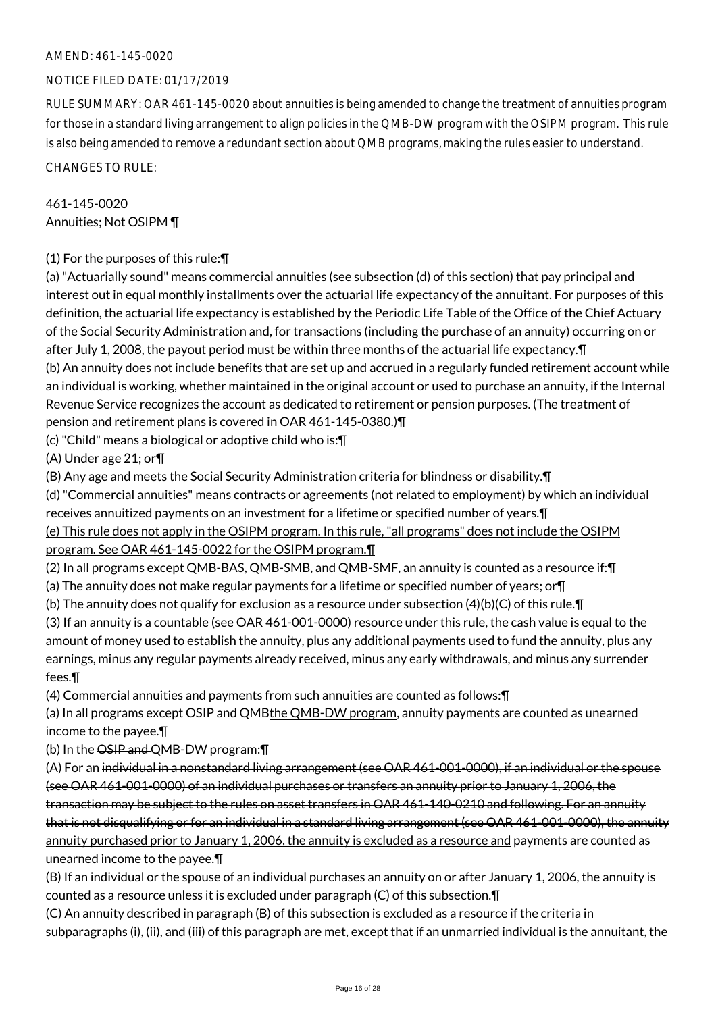#### NOTICE FILED DATE: 01/17/2019

RULE SUMMARY: OAR 461-145-0020 about annuities is being amended to change the treatment of annuities program for those in a standard living arrangement to align policies in the QMB-DW program with the OSIPM program. This rule is also being amended to remove a redundant section about QMB programs, making the rules easier to understand.

CHANGES TO RULE:

# 461-145-0020 Annuities; Not OSIPM ¶

## (1) For the purposes of this rule:¶

(a) "Actuarially sound" means commercial annuities (see subsection (d) of this section) that pay principal and interest out in equal monthly installments over the actuarial life expectancy of the annuitant. For purposes of this definition, the actuarial life expectancy is established by the Periodic Life Table of the Office of the Chief Actuary of the Social Security Administration and, for transactions (including the purchase of an annuity) occurring on or after July 1, 2008, the payout period must be within three months of the actuarial life expectancy.¶ (b) An annuity does not include benefits that are set up and accrued in a regularly funded retirement account while an individual is working, whether maintained in the original account or used to purchase an annuity, if the Internal Revenue Service recognizes the account as dedicated to retirement or pension purposes. (The treatment of pension and retirement plans is covered in OAR 461-145-0380.)¶

(c) "Child" means a biological or adoptive child who is:¶

(A) Under age 21; or¶

(B) Any age and meets the Social Security Administration criteria for blindness or disability.¶

(d) "Commercial annuities" means contracts or agreements (not related to employment) by which an individual receives annuitized payments on an investment for a lifetime or specified number of years.¶ (e) This rule does not apply in the OSIPM program. In this rule, "all programs" does not include the OSIPM

program. See OAR 461-145-0022 for the OSIPM program.¶

(2) In all programs except QMB-BAS, QMB-SMB, and QMB-SMF, an annuity is counted as a resource if:¶

- (a) The annuity does not make regular payments for a lifetime or specified number of years; or¶
- (b) The annuity does not qualify for exclusion as a resource under subsection  $(4)(b)(C)$  of this rule. $\P$

(3) If an annuity is a countable (see OAR 461-001-0000) resource under this rule, the cash value is equal to the amount of money used to establish the annuity, plus any additional payments used to fund the annuity, plus any earnings, minus any regular payments already received, minus any early withdrawals, and minus any surrender fees.¶

(4) Commercial annuities and payments from such annuities are counted as follows:¶

(a) In all programs except OSIP and QMBthe QMB-DW program, annuity payments are counted as unearned income to the payee.¶

(b) In the OSIP and QMB-DW program:¶

(A) For an individual in a nonstandard living arrangement (see OAR 461-001-0000), if an individual or the spouse (see OAR 461-001-0000) of an individual purchases or transfers an annuity prior to January 1, 2006, the transaction may be subject to the rules on asset transfers in OAR 461-140-0210 and following. For an annuity that is not disqualifying or for an individual in a standard living arrangement (see OAR 461-001-0000), the annuity annuity purchased prior to January 1, 2006, the annuity is excluded as a resource and payments are counted as unearned income to the payee.¶

(B) If an individual or the spouse of an individual purchases an annuity on or after January 1, 2006, the annuity is counted as a resource unless it is excluded under paragraph (C) of this subsection.¶

(C) An annuity described in paragraph (B) of this subsection is excluded as a resource if the criteria in subparagraphs (i), (ii), and (iii) of this paragraph are met, except that if an unmarried individual is the annuitant, the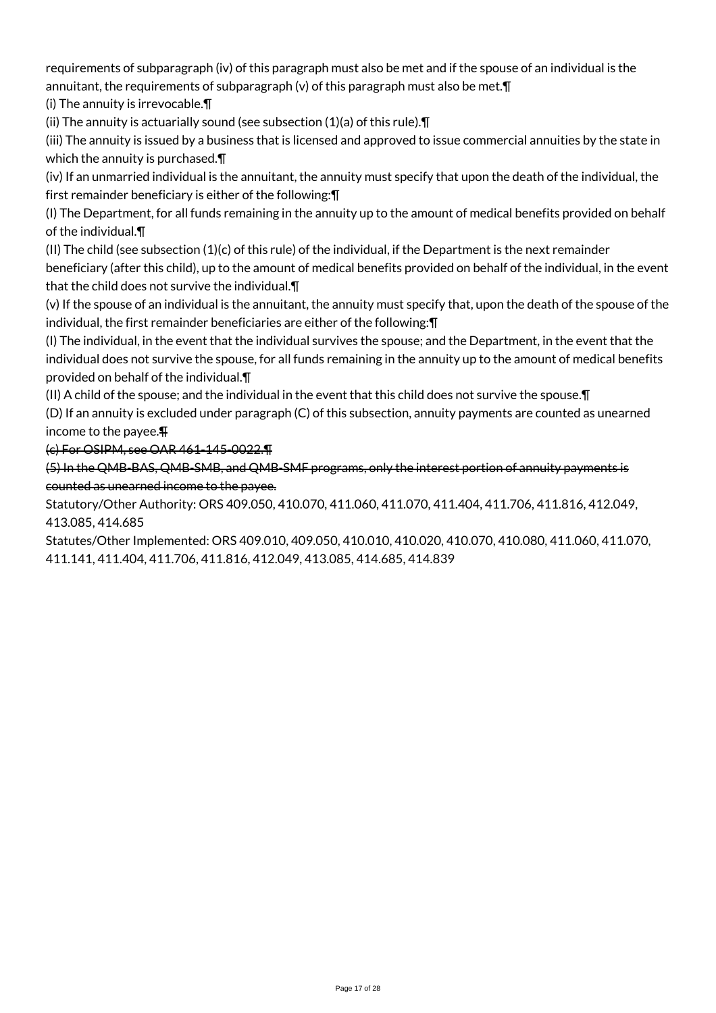requirements of subparagraph (iv) of this paragraph must also be met and if the spouse of an individual is the annuitant, the requirements of subparagraph (v) of this paragraph must also be met.¶

(i) The annuity is irrevocable.¶

(ii) The annuity is actuarially sound (see subsection (1)(a) of this rule).¶

(iii) The annuity is issued by a business that is licensed and approved to issue commercial annuities by the state in which the annuity is purchased.¶

(iv) If an unmarried individual is the annuitant, the annuity must specify that upon the death of the individual, the first remainder beneficiary is either of the following:¶

(I) The Department, for all funds remaining in the annuity up to the amount of medical benefits provided on behalf of the individual.¶

(II) The child (see subsection (1)(c) of this rule) of the individual, if the Department is the next remainder beneficiary (after this child), up to the amount of medical benefits provided on behalf of the individual, in the event that the child does not survive the individual.¶

(v) If the spouse of an individual is the annuitant, the annuity must specify that, upon the death of the spouse of the individual, the first remainder beneficiaries are either of the following:¶

(I) The individual, in the event that the individual survives the spouse; and the Department, in the event that the individual does not survive the spouse, for all funds remaining in the annuity up to the amount of medical benefits provided on behalf of the individual.¶

(II) A child of the spouse; and the individual in the event that this child does not survive the spouse.¶

(D) If an annuity is excluded under paragraph (C) of this subsection, annuity payments are counted as unearned income to the payee.¶

(c) For OSIPM, see OAR 461-145-0022.¶

(5) In the QMB-BAS, QMB-SMB, and QMB-SMF programs, only the interest portion of annuity payments is counted as unearned income to the payee.

Statutory/Other Authority: ORS 409.050, 410.070, 411.060, 411.070, 411.404, 411.706, 411.816, 412.049, 413.085, 414.685

Statutes/Other Implemented: ORS 409.010, 409.050, 410.010, 410.020, 410.070, 410.080, 411.060, 411.070, 411.141, 411.404, 411.706, 411.816, 412.049, 413.085, 414.685, 414.839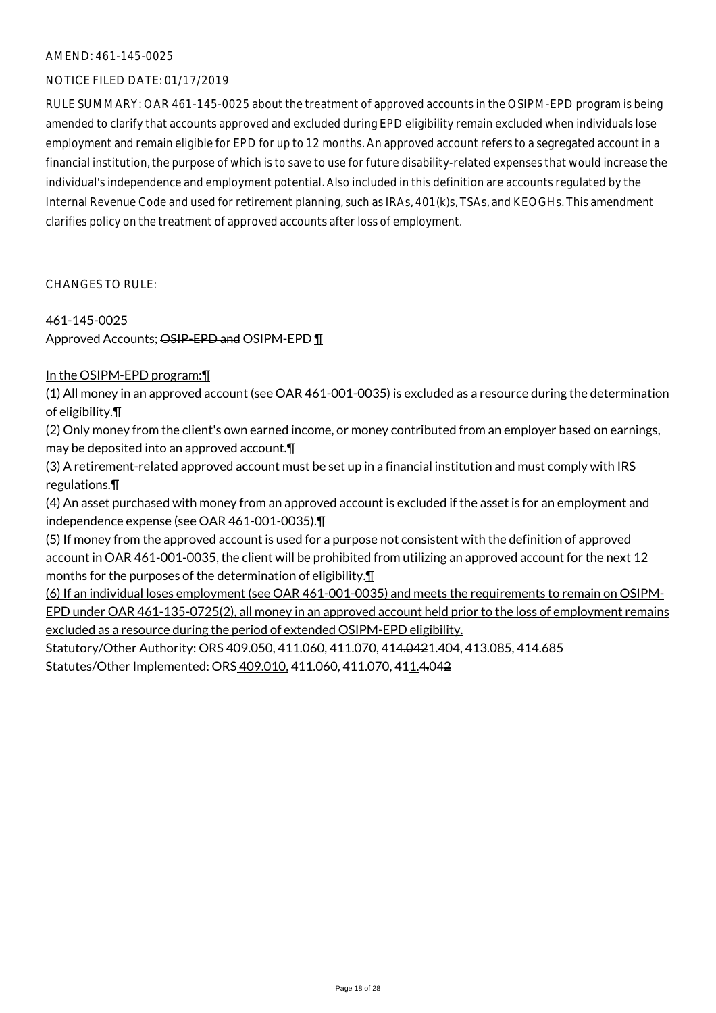#### NOTICE FILED DATE: 01/17/2019

RULE SUMMARY: OAR 461-145-0025 about the treatment of approved accounts in the OSIPM-EPD program is being amended to clarify that accounts approved and excluded during EPD eligibility remain excluded when individuals lose employment and remain eligible for EPD for up to 12 months. An approved account refers to a segregated account in a financial institution, the purpose of which is to save to use for future disability-related expenses that would increase the individual's independence and employment potential. Also included in this definition are accounts regulated by the Internal Revenue Code and used for retirement planning, such as IRAs, 401(k)s, TSAs, and KEOGHs. This amendment clarifies policy on the treatment of approved accounts after loss of employment.

CHANGES TO RULE:

#### 461-145-0025

Approved Accounts; OSIP-EPD and OSIPM-EPD ¶

### In the OSIPM-EPD program:¶

(1) All money in an approved account (see OAR 461-001-0035) is excluded as a resource during the determination of eligibility.¶

(2) Only money from the client's own earned income, or money contributed from an employer based on earnings, may be deposited into an approved account.¶

(3) A retirement-related approved account must be set up in a financial institution and must comply with IRS regulations.¶

(4) An asset purchased with money from an approved account is excluded if the asset is for an employment and independence expense (see OAR 461-001-0035).¶

(5) If money from the approved account is used for a purpose not consistent with the definition of approved account in OAR 461-001-0035, the client will be prohibited from utilizing an approved account for the next 12 months for the purposes of the determination of eligibility.¶

(6) If an individual loses employment (see OAR 461-001-0035) and meets the requirements to remain on OSIPM-EPD under OAR 461-135-0725(2), all money in an approved account held prior to the loss of employment remains excluded as a resource during the period of extended OSIPM-EPD eligibility.

Statutory/Other Authority: ORS 409.050, 411.060, 411.070, 414.0421.404, 413.085, 414.685 Statutes/Other Implemented: ORS 409.010, 411.060, 411.070, 411.4.042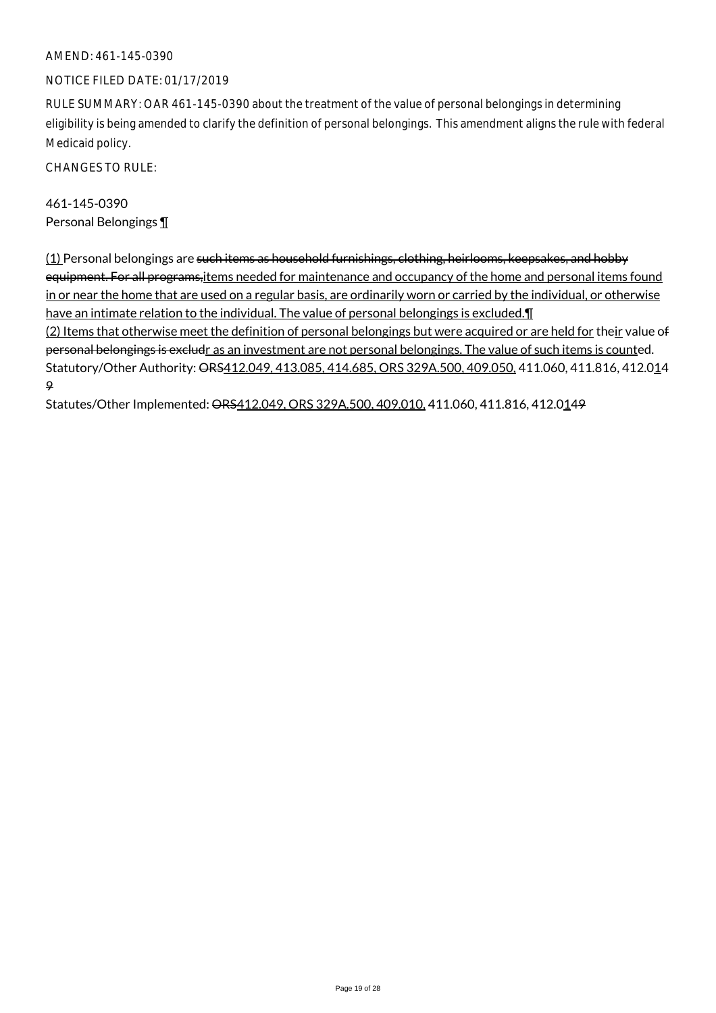#### NOTICE FILED DATE: 01/17/2019

RULE SUMMARY: OAR 461-145-0390 about the treatment of the value of personal belongings in determining eligibility is being amended to clarify the definition of personal belongings. This amendment aligns the rule with federal Medicaid policy.

CHANGES TO RULE:

461-145-0390 Personal Belongings ¶

(1) Personal belongings are such items as household furnishings, clothing, heirlooms, keepsakes, and hobby equipment. For all programs, items needed for maintenance and occupancy of the home and personal items found in or near the home that are used on a regular basis, are ordinarily worn or carried by the individual, or otherwise have an intimate relation to the individual. The value of personal belongings is excluded.¶ (2) Items that otherwise meet the definition of personal belongings but were acquired or are held for their value of personal belongings is excludr as an investment are not personal belongings. The value of such items is counted. Statutory/Other Authority: ORS412.049, 413.085, 414.685, ORS 329A.500, 409.050, 411.060, 411.816, 412.014 9

Statutes/Other Implemented: ORS412.049, ORS 329A.500, 409.010, 411.060, 411.816, 412.0149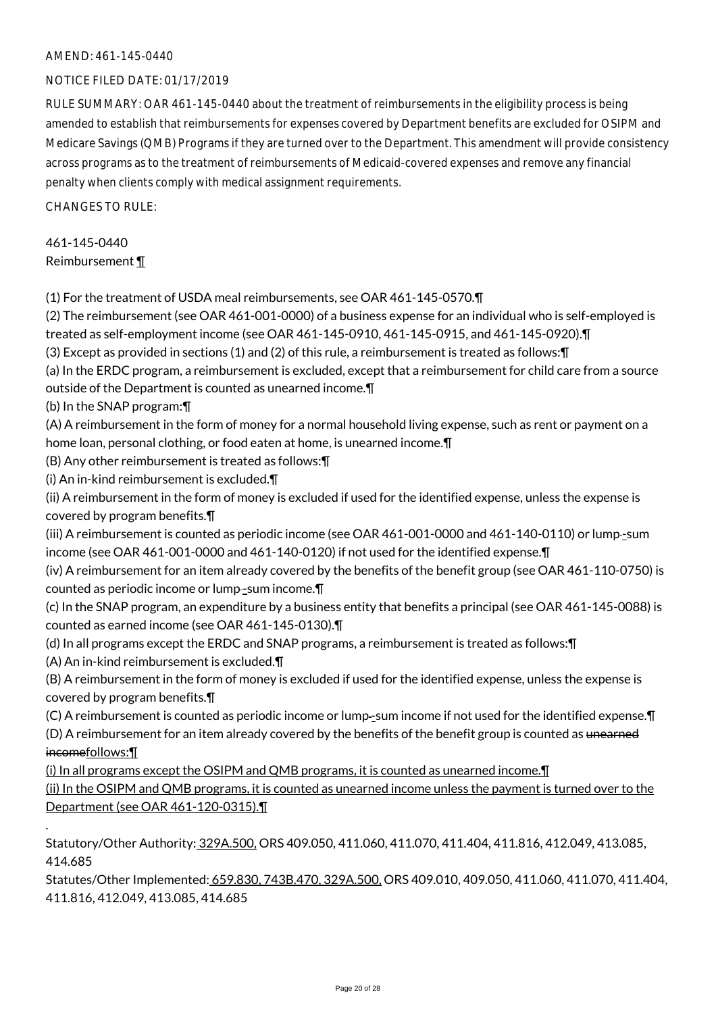#### NOTICE FILED DATE: 01/17/2019

RULE SUMMARY: OAR 461-145-0440 about the treatment of reimbursements in the eligibility process is being amended to establish that reimbursements for expenses covered by Department benefits are excluded for OSIPM and Medicare Savings (QMB) Programs if they are turned over to the Department. This amendment will provide consistency across programs as to the treatment of reimbursements of Medicaid-covered expenses and remove any financial penalty when clients comply with medical assignment requirements.

 $CHANGESTORUIF$ 

### 461-145-0440 Reimbursement ¶

(1) For the treatment of USDA meal reimbursements, see OAR 461-145-0570.¶

(2) The reimbursement (see OAR 461-001-0000) of a business expense for an individual who is self-employed is treated as self-employment income (see OAR 461-145-0910, 461-145-0915, and 461-145-0920).¶

(3) Except as provided in sections (1) and (2) of this rule, a reimbursement is treated as follows:¶

(a) In the ERDC program, a reimbursement is excluded, except that a reimbursement for child care from a source outside of the Department is counted as unearned income.¶

(b) In the SNAP program:¶

(A) A reimbursement in the form of money for a normal household living expense, such as rent or payment on a home loan, personal clothing, or food eaten at home, is unearned income.¶

(B) Any other reimbursement is treated as follows:¶

(i) An in-kind reimbursement is excluded.¶

(ii) A reimbursement in the form of money is excluded if used for the identified expense, unless the expense is covered by program benefits.¶

(iii) A reimbursement is counted as periodic income (see OAR 461-001-0000 and 461-140-0110) or lump-sum income (see OAR 461-001-0000 and 461-140-0120) if not used for the identified expense.¶

(iv) A reimbursement for an item already covered by the benefits of the benefit group (see OAR 461-110-0750) is counted as periodic income or lump-sum income.

- (c) In the SNAP program, an expenditure by a business entity that benefits a principal (see OAR 461-145-0088) is counted as earned income (see OAR 461-145-0130).¶
- (d) In all programs except the ERDC and SNAP programs, a reimbursement is treated as follows:¶

(A) An in-kind reimbursement is excluded.¶

.

(B) A reimbursement in the form of money is excluded if used for the identified expense, unless the expense is covered by program benefits.¶

(C) A reimbursement is counted as periodic income or lump-sum income if not used for the identified expense. [1]

(D) A reimbursement for an item already covered by the benefits of the benefit group is counted as unearned incomefollows:¶

(i) In all programs except the OSIPM and QMB programs, it is counted as unearned income.¶

(ii) In the OSIPM and QMB programs, it is counted as unearned income unless the payment is turned over to the Department (see OAR 461-120-0315).¶

Statutory/Other Authority: 329A.500, ORS 409.050, 411.060, 411.070, 411.404, 411.816, 412.049, 413.085, 414.685

Statutes/Other Implemented: 659.830, 743B.470, 329A.500, ORS 409.010, 409.050, 411.060, 411.070, 411.404, 411.816, 412.049, 413.085, 414.685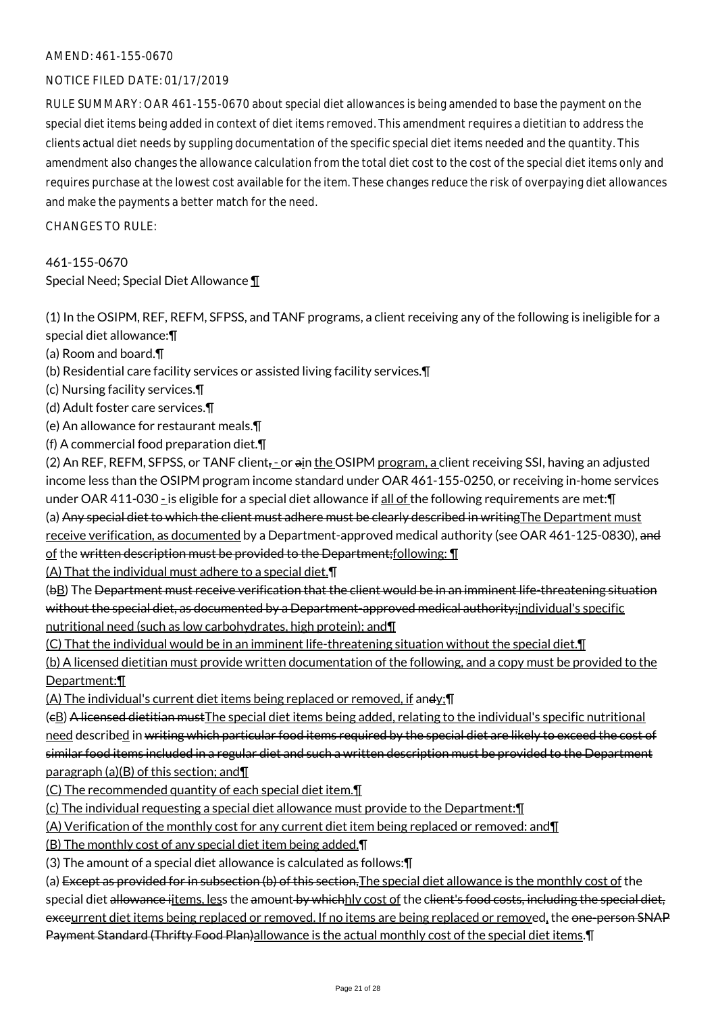#### NOTICE FILED DATE: 01/17/2019

RULE SUMMARY: OAR 461-155-0670 about special diet allowances is being amended to base the payment on the special diet items being added in context of diet items removed. This amendment requires a dietitian to address the clients actual diet needs by suppling documentation of the specific special diet items needed and the quantity. This amendment also changes the allowance calculation from the total diet cost to the cost of the special diet items only and requires purchase at the lowest cost available for the item. These changes reduce the risk of overpaying diet allowances and make the payments a better match for the need.

CHANGES TO RULE:

# 461-155-0670 Special Need; Special Diet Allowance ¶

(1) In the OSIPM, REF, REFM, SFPSS, and TANF programs, a client receiving any of the following is ineligible for a special diet allowance:¶

(a) Room and board.¶

- (b) Residential care facility services or assisted living facility services.¶
- (c) Nursing facility services.¶
- (d) Adult foster care services.¶
- (e) An allowance for restaurant meals.¶
- (f) A commercial food preparation diet.¶

(2) An REF, REFM, SFPSS, or TANF client<sub></sub>,-or ain the OSIPM program, a client receiving SSI, having an adjusted income less than the OSIPM program income standard under OAR 461-155-0250, or receiving in-home services under OAR 411-030 - is eligible for a special diet allowance if all of the following requirements are met:  $\P$ (a) Any special diet to which the client must adhere must be clearly described in writing The Department must receive verification, as documented by a Department-approved medical authority (see OAR 461-125-0830), and of the written description must be provided to the Department; following:  $\P$ 

(A) That the individual must adhere to a special diet.¶

(bB) The Department must receive verification that the client would be in an imminent life-threatening situation without the special diet, as documented by a Department-approved medical authority; individual's specific nutritional need (such as low carbohydrates, high protein); and¶

(C) That the individual would be in an imminent life-threatening situation without the special diet.¶

(b) A licensed dietitian must provide written documentation of the following, and a copy must be provided to the Department:¶

(A) The individual's current diet items being replaced or removed, if andy;¶

(cB) A licensed dietitian mustThe special diet items being added, relating to the individual's specific nutritional need described in writing which particular food items required by the special diet are likely to exceed the cost of similar food items included in a regular diet and such a written description must be provided to the Department paragraph (a)(B) of this section; and¶

(C) The recommended quantity of each special diet item.¶

(c) The individual requesting a special diet allowance must provide to the Department:¶

(A) Verification of the monthly cost for any current diet item being replaced or removed: and¶

(B) The monthly cost of any special diet item being added.¶

(3) The amount of a special diet allowance is calculated as follows:¶

(a) Except as provided for in subsection (b) of this section, The special diet allowance is the monthly cost of the special diet allowance iitems, less the amount by whichhly cost of the client's food costs, including the special diet, exceurrent diet items being replaced or removed. If no items are being replaced or removed, the one-person SNAP Payment Standard (Thrifty Food Plan)allowance is the actual monthly cost of the special diet items. In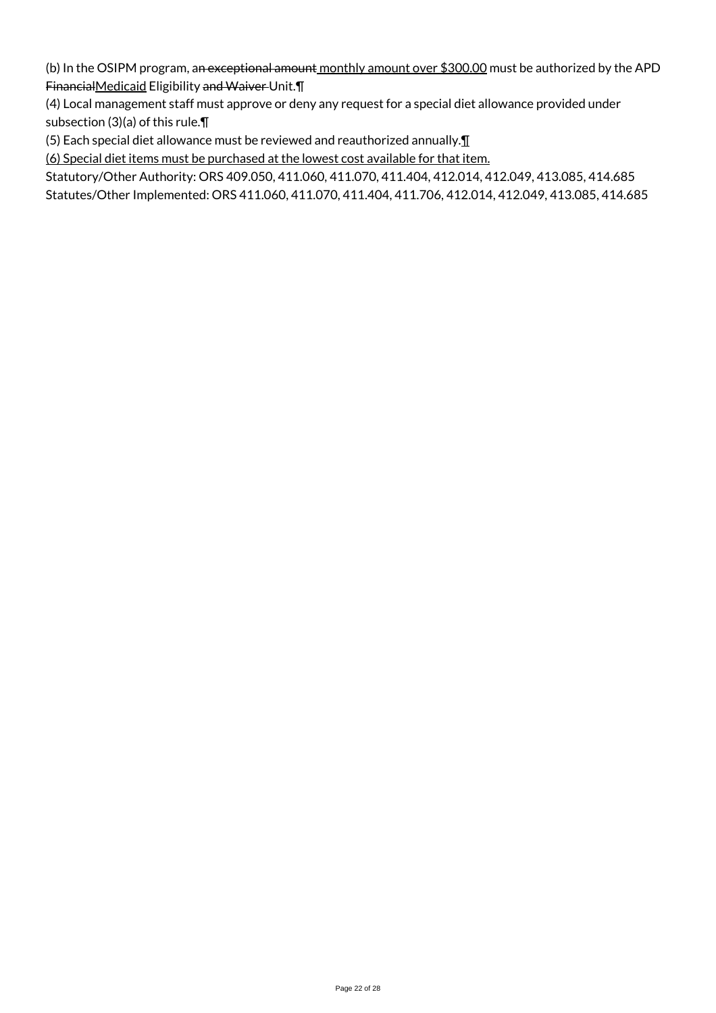(b) In the OSIPM program, an exceptional amount monthly amount over \$300.00 must be authorized by the APD FinancialMedicaid Eligibility and Waiver Unit.¶

(4) Local management staff must approve or deny any request for a special diet allowance provided under subsection (3)(a) of this rule.¶

(5) Each special diet allowance must be reviewed and reauthorized annually.¶

(6) Special diet items must be purchased at the lowest cost available for that item.

Statutory/Other Authority: ORS 409.050, 411.060, 411.070, 411.404, 412.014, 412.049, 413.085, 414.685 Statutes/Other Implemented: ORS 411.060, 411.070, 411.404, 411.706, 412.014, 412.049, 413.085, 414.685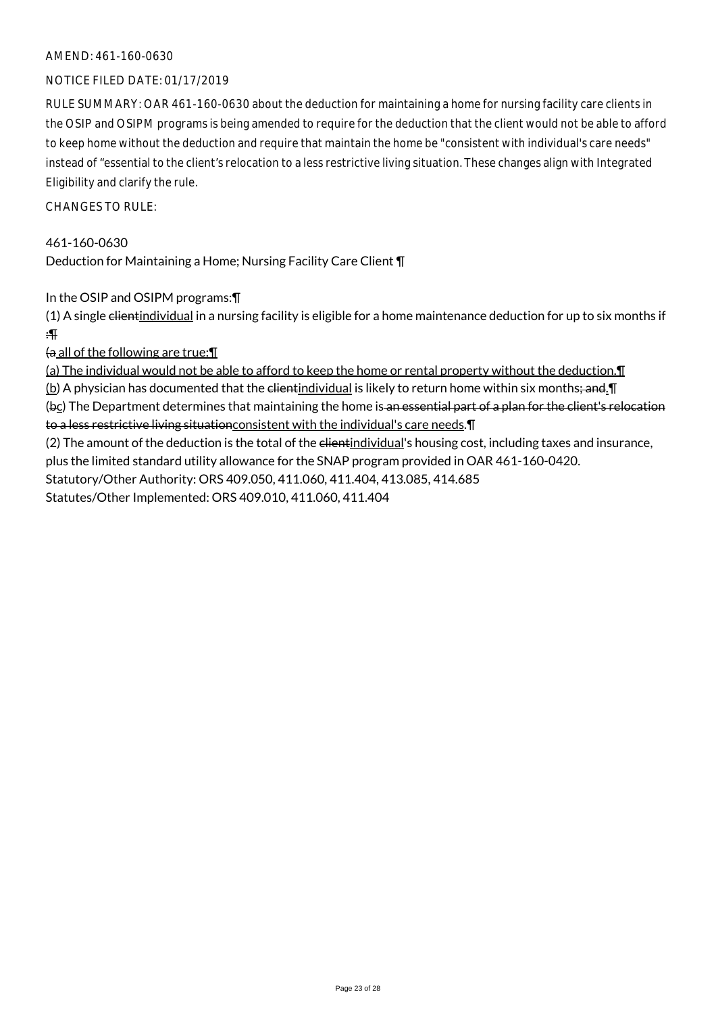### AMEND: 461-160-0630

#### NOTICE FILED DATE: 01/17/2019

RULE SUMMARY: OAR 461-160-0630 about the deduction for maintaining a home for nursing facility care clients in the OSIP and OSIPM programs is being amended to require for the deduction that the client would not be able to afford to keep home without the deduction and require that maintain the home be "consistent with individual's care needs" instead of "essential to the client's relocation to a less restrictive living situation. These changes align with Integrated Eligibility and clarify the rule.

 $CHANGESTORUIF$ 

461-160-0630 Deduction for Maintaining a Home; Nursing Facility Care Client ¶

In the OSIP and OSIPM programs:¶

 $(1)$  A single client individual in a nursing facility is eligible for a home maintenance deduction for up to six months if :¶

 $\theta$  all of the following are true:

(a) The individual would not be able to afford to keep the home or rental property without the deduction.¶ (b) A physician has documented that the client individual is likely to return home within six months; and. I (bc) The Department determines that maintaining the home is an essential part of a plan for the client's relocation to a less restrictive living situationconsistent with the individual's care needs.¶

(2) The amount of the deduction is the total of the elientindividual's housing cost, including taxes and insurance, plus the limited standard utility allowance for the SNAP program provided in OAR 461-160-0420. Statutory/Other Authority: ORS 409.050, 411.060, 411.404, 413.085, 414.685

Statutes/Other Implemented: ORS 409.010, 411.060, 411.404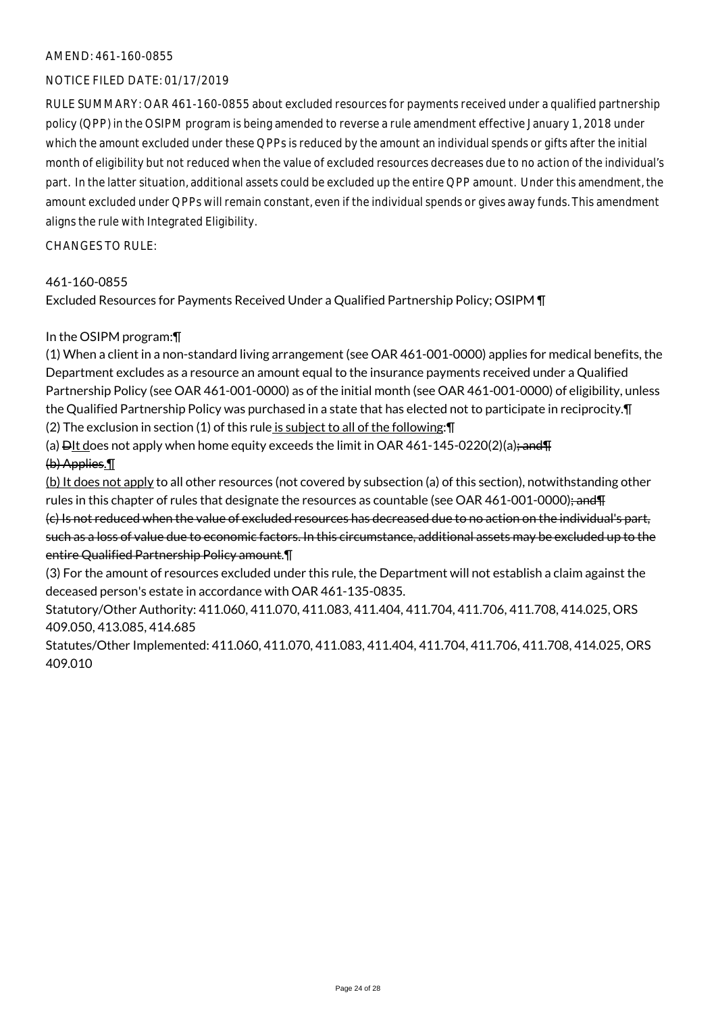#### AMEND: 461-160-0855

#### NOTICE FILED DATE: 01/17/2019

RULE SUMMARY: OAR 461-160-0855 about excluded resources for payments received under a qualified partnership policy (QPP) in the OSIPM program is being amended to reverse a rule amendment effective January 1, 2018 under which the amount excluded under these QPPs is reduced by the amount an individual spends or gifts after the initial month of eligibility but not reduced when the value of excluded resources decreases due to no action of the individual's part. In the latter situation, additional assets could be excluded up the entire QPP amount. Under this amendment, the amount excluded under QPPs will remain constant, even if the individual spends or gives away funds. This amendment aligns the rule with Integrated Eligibility.

CHANGES TO RULE:

#### 461-160-0855

Excluded Resources for Payments Received Under a Qualified Partnership Policy; OSIPM ¶

#### In the OSIPM program:¶

(1) When a client in a non-standard living arrangement (see OAR 461-001-0000) applies for medical benefits, the Department excludes as a resource an amount equal to the insurance payments received under a Qualified Partnership Policy (see OAR 461-001-0000) as of the initial month (see OAR 461-001-0000) of eligibility, unless the Qualified Partnership Policy was purchased in a state that has elected not to participate in reciprocity.¶ (2) The exclusion in section (1) of this rule is subject to all of the following:¶

(a)  $\frac{\text{D}_1 \cdot \text{D}_2}{\text{D}_3 \cdot \text{D}_4}$  when home equity exceeds the limit in OAR 461-145-0220(2)(a); and  $\frac{\text{D}_1 \cdot \text{D}_3}{\text{D}_4 \cdot \text{D}_5}$ 

#### (b) Applies.¶

(b) It does not apply to all other resources (not covered by subsection (a) of this section), notwithstanding other rules in this chapter of rules that designate the resources as countable (see OAR 461-001-0000); and T

(c) Is not reduced when the value of excluded resources has decreased due to no action on the individual's part, such as a loss of value due to economic factors. In this circumstance, additional assets may be excluded up to the entire Qualified Partnership Policy amount.¶

(3) For the amount of resources excluded under this rule, the Department will not establish a claim against the deceased person's estate in accordance with OAR 461-135-0835.

Statutory/Other Authority: 411.060, 411.070, 411.083, 411.404, 411.704, 411.706, 411.708, 414.025, ORS 409.050, 413.085, 414.685

Statutes/Other Implemented: 411.060, 411.070, 411.083, 411.404, 411.704, 411.706, 411.708, 414.025, ORS 409.010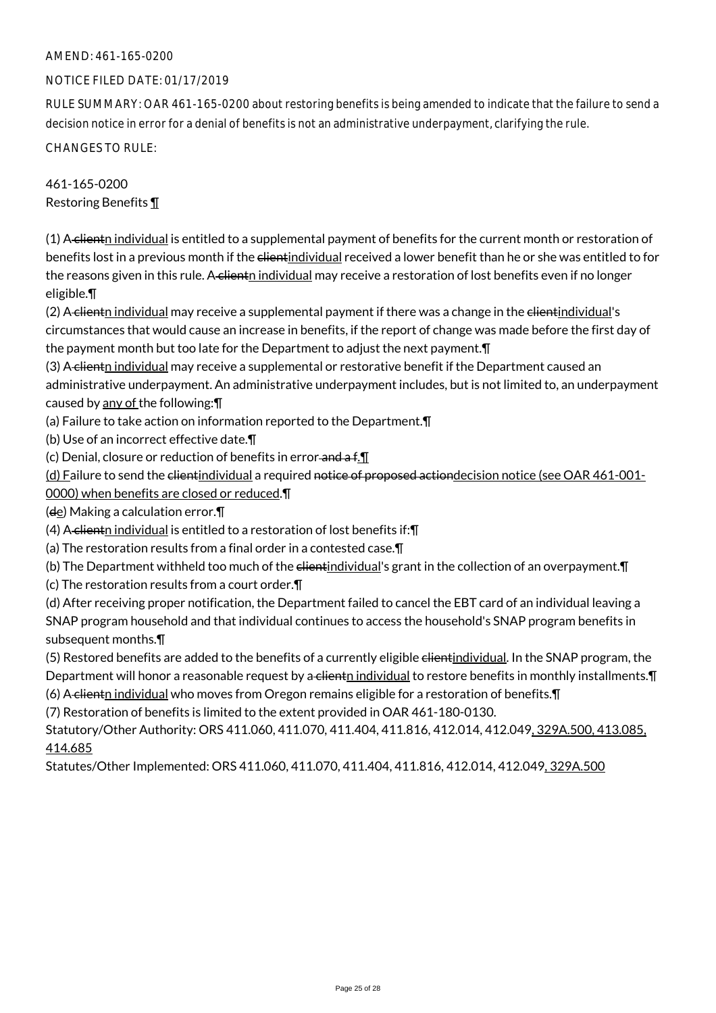#### NOTICE FILED DATE: 01/17/2019

RULE SUMMARY: OAR 461-165-0200 about restoring benefits is being amended to indicate that the failure to send a decision notice in error for a denial of benefits is not an administrative underpayment, clarifying the rule.

CHANGES TO RULE:

461-165-0200 Restoring Benefits ¶

(1) A clientn individual is entitled to a supplemental payment of benefits for the current month or restoration of benefits lost in a previous month if the clientindividual received a lower benefit than he or she was entitled to for the reasons given in this rule. A clienth individual may receive a restoration of lost benefits even if no longer eligible.¶

(2) A clientn individual may receive a supplemental payment if there was a change in the clientindividual's circumstances that would cause an increase in benefits, if the report of change was made before the first day of the payment month but too late for the Department to adjust the next payment.¶

(3) A clientn individual may receive a supplemental or restorative benefit if the Department caused an administrative underpayment. An administrative underpayment includes, but is not limited to, an underpayment caused by any of the following:¶

(a) Failure to take action on information reported to the Department.¶

(b) Use of an incorrect effective date.¶

(c) Denial, closure or reduction of benefits in error-and a f. I.

(d) Failure to send the clientindividual a required notice of proposed actiondecision notice (see OAR 461-001-0000) when benefits are closed or reduced.¶

 $(d_e)$  Making a calculation error. $\P$ 

(4) A clienth individual is entitled to a restoration of lost benefits if: $\P$ 

(a) The restoration results from a final order in a contested case.¶

(b) The Department withheld too much of the elientindividual's grant in the collection of an overpayment. In

(c) The restoration results from a court order.¶

(d) After receiving proper notification, the Department failed to cancel the EBT card of an individual leaving a SNAP program household and that individual continues to access the household's SNAP program benefits in subsequent months.¶

(5) Restored benefits are added to the benefits of a currently eligible elientindividual. In the SNAP program, the Department will honor a reasonable request by a client individual to restore benefits in monthly installments.  $\P$ (6) A clientn individual who moves from Oregon remains eligible for a restoration of benefits. T

(7) Restoration of benefits is limited to the extent provided in OAR 461-180-0130.

Statutory/Other Authority: ORS 411.060, 411.070, 411.404, 411.816, 412.014, 412.049, 329A.500, 413.085, 414.685

Statutes/Other Implemented: ORS 411.060, 411.070, 411.404, 411.816, 412.014, 412.049, 329A.500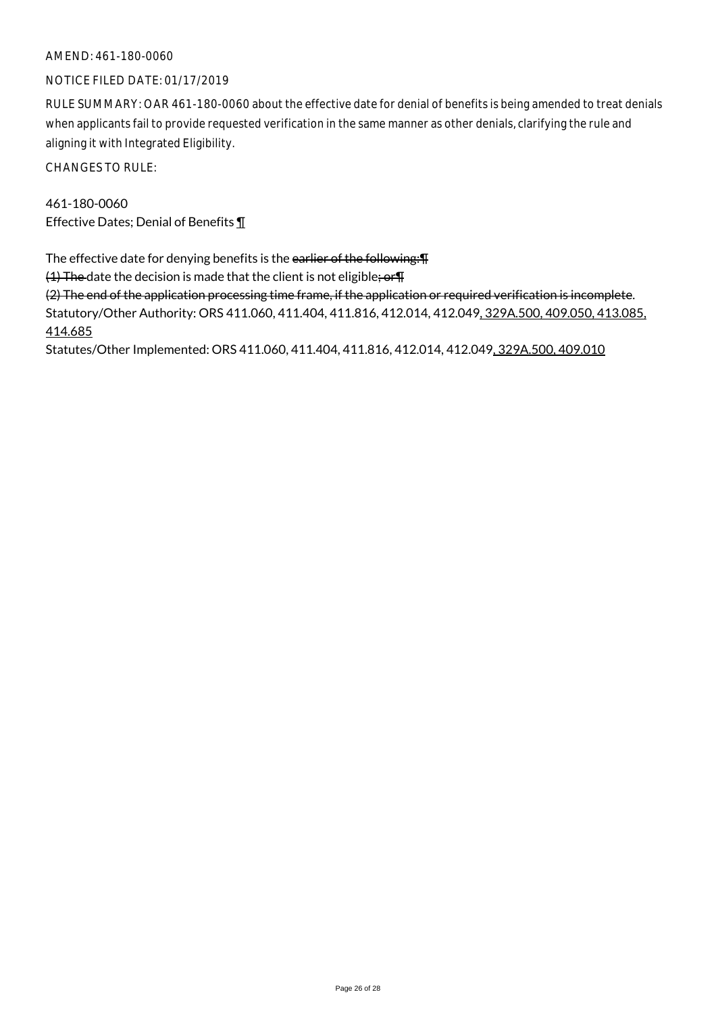#### AMEND: 461-180-0060

#### NOTICE FILED DATE: 01/17/2019

RULE SUMMARY: OAR 461-180-0060 about the effective date for denial of benefits is being amended to treat denials when applicants fail to provide requested verification in the same manner as other denials, clarifying the rule and aligning it with Integrated Eligibility.

CHANGES TO RULE:

461-180-0060 Effective Dates; Denial of Benefits ¶

The effective date for denying benefits is the earlier of the following: T

(1) The date the decision is made that the client is not eligible; or T

(2) The end of the application processing time frame, if the application or required verification is incomplete. Statutory/Other Authority: ORS 411.060, 411.404, 411.816, 412.014, 412.049, 329A.500, 409.050, 413.085, 414.685

Statutes/Other Implemented: ORS 411.060, 411.404, 411.816, 412.014, 412.049, 329A.500, 409.010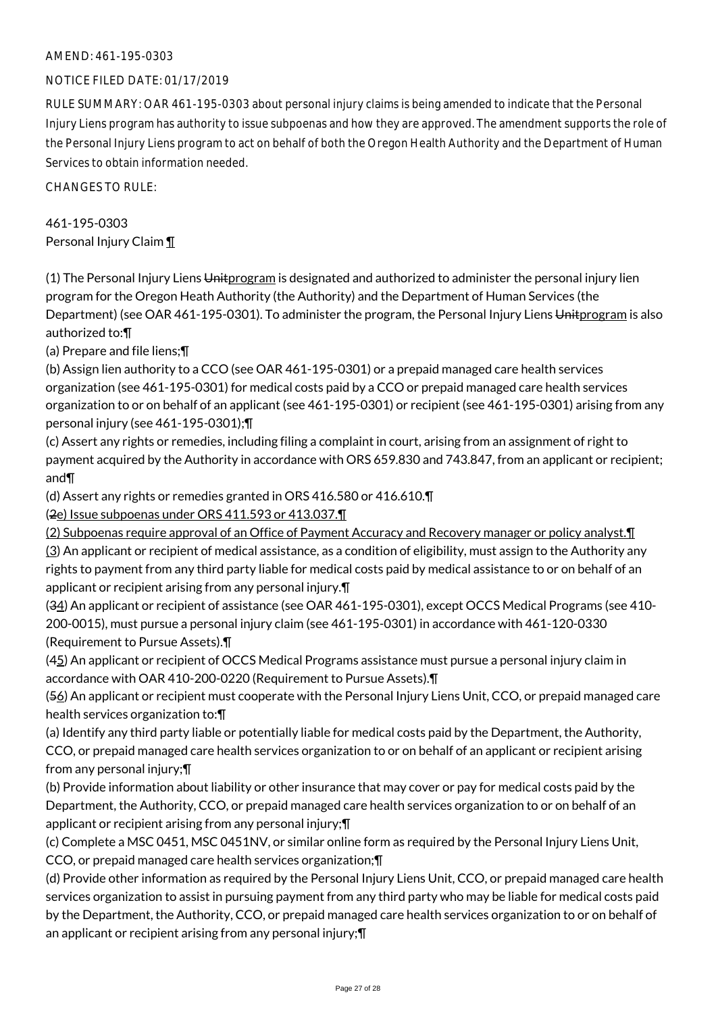#### NOTICE FILED DATE: 01/17/2019

RULE SUMMARY: OAR 461-195-0303 about personal injury claims is being amended to indicate that the Personal Injury Liens program has authority to issue subpoenas and how they are approved. The amendment supports the role of the Personal Injury Liens program to act on behalf of both the Oregon Health Authority and the Department of Human Services to obtain information needed.

CHANGES TO RULE:

461-195-0303 Personal Injury Claim ¶

(1) The Personal Injury Liens Uniterogram is designated and authorized to administer the personal injury lien program for the Oregon Heath Authority (the Authority) and the Department of Human Services (the Department) (see OAR 461-195-0301). To administer the program, the Personal Injury Liens Unitprogram is also authorized to:¶

(a) Prepare and file liens;¶

(b) Assign lien authority to a CCO (see OAR 461-195-0301) or a prepaid managed care health services organization (see 461-195-0301) for medical costs paid by a CCO or prepaid managed care health services organization to or on behalf of an applicant (see 461-195-0301) or recipient (see 461-195-0301) arising from any personal injury (see 461-195-0301);¶

(c) Assert any rights or remedies, including filing a complaint in court, arising from an assignment of right to payment acquired by the Authority in accordance with ORS 659.830 and 743.847, from an applicant or recipient; and¶

(d) Assert any rights or remedies granted in ORS 416.580 or 416.610.¶

(2e) Issue subpoenas under ORS 411.593 or 413.037.¶

(2) Subpoenas require approval of an Office of Payment Accuracy and Recovery manager or policy analyst.¶  $(3)$  An applicant or recipient of medical assistance, as a condition of eligibility, must assign to the Authority any rights to payment from any third party liable for medical costs paid by medical assistance to or on behalf of an applicant or recipient arising from any personal injury.¶

(34) An applicant or recipient of assistance (see OAR 461-195-0301), except OCCS Medical Programs (see 410- 200-0015), must pursue a personal injury claim (see 461-195-0301) in accordance with 461-120-0330 (Requirement to Pursue Assets).¶

(45) An applicant or recipient of OCCS Medical Programs assistance must pursue a personal injury claim in accordance with OAR 410-200-0220 (Requirement to Pursue Assets).¶

(56) An applicant or recipient must cooperate with the Personal Injury Liens Unit, CCO, or prepaid managed care health services organization to:¶

(a) Identify any third party liable or potentially liable for medical costs paid by the Department, the Authority, CCO, or prepaid managed care health services organization to or on behalf of an applicant or recipient arising from any personal injury;¶

(b) Provide information about liability or other insurance that may cover or pay for medical costs paid by the Department, the Authority, CCO, or prepaid managed care health services organization to or on behalf of an applicant or recipient arising from any personal injury;¶

(c) Complete a MSC 0451, MSC 0451NV, or similar online form as required by the Personal Injury Liens Unit, CCO, or prepaid managed care health services organization;¶

(d) Provide other information as required by the Personal Injury Liens Unit, CCO, or prepaid managed care health services organization to assist in pursuing payment from any third party who may be liable for medical costs paid by the Department, the Authority, CCO, or prepaid managed care health services organization to or on behalf of an applicant or recipient arising from any personal injury;¶